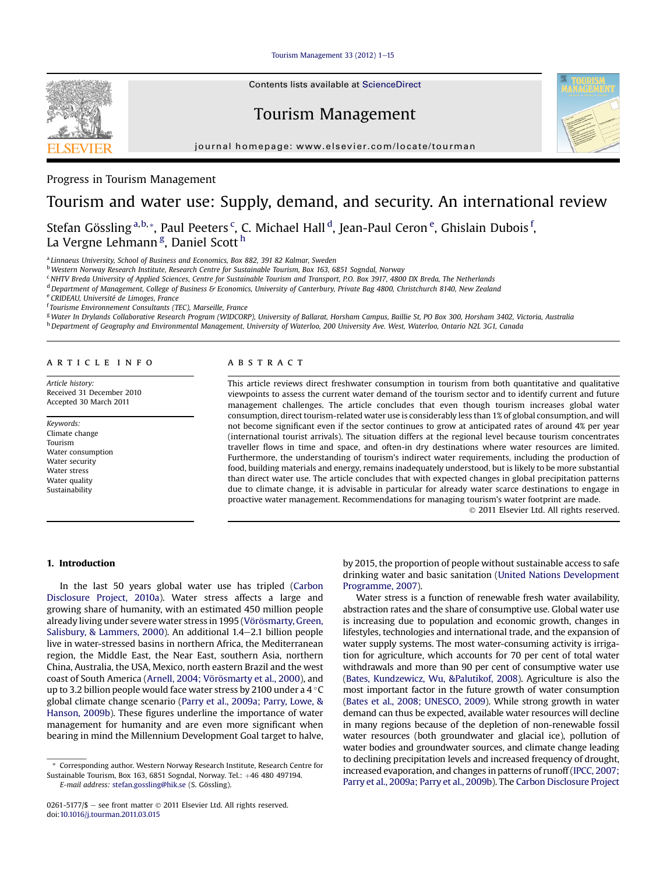Tourism Management 33  $(2012)$  1-[15](http://dx.doi.org/10.1016/j.tourman.2011.03.015)



Contents lists available at ScienceDirect

# Tourism Management





# Progress in Tourism Management

# Tourism and water use: Supply, demand, and security. An international review

Stefan Gössling <sup>a,b,</sup>\*, Paul Peeters <sup>c</sup>, C. Michael Hall <sup>d</sup>, Jean-Paul Ceron <sup>e</sup>, Ghislain Dubois <sup>f</sup>, La Vergne Lehmann<sup>g</sup>, Daniel Scott <sup>h</sup>

<sup>a</sup> Linnaeus University, School of Business and Economics, Box 882, 391 82 Kalmar, Sweden

<sup>b</sup> Western Norway Research Institute, Research Centre for Sustainable Tourism, Box 163, 6851 Sogndal, Norway

<sup>c</sup> NHTV Breda University of Applied Sciences, Centre for Sustainable Tourism and Transport, P.O. Box 3917, 4800 DX Breda, The Netherlands

<sup>d</sup> Department of Management, College of Business & Economics, University of Canterbury, Private Bag 4800, Christchurch 8140, New Zealand

<sup>e</sup> CRIDEAU, Université de Limoges, France

<sup>f</sup> Tourisme Environnement Consultants (TEC), Marseille, France

<sup>g</sup> Water In Drylands Collaborative Research Program (WIDCORP), University of Ballarat, Horsham Campus, Baillie St, PO Box 300, Horsham 3402, Victoria, Australia h Department of Geography and Environmental Management, University of Waterloo, 200 University Ave. West, Waterloo, Ontario N2L 3G1, Canada

#### article info

Article history: Received 31 December 2010 Accepted 30 March 2011

Keywords: Climate change Tourism Water consumption Water security Water stress Water quality Sustainability

# **ABSTRACT**

This article reviews direct freshwater consumption in tourism from both quantitative and qualitative viewpoints to assess the current water demand of the tourism sector and to identify current and future management challenges. The article concludes that even though tourism increases global water consumption, direct tourism-related water use is considerably less than 1% of global consumption, and will not become significant even if the sector continues to grow at anticipated rates of around 4% per year (international tourist arrivals). The situation differs at the regional level because tourism concentrates traveller flows in time and space, and often-in dry destinations where water resources are limited. Furthermore, the understanding of tourism's indirect water requirements, including the production of food, building materials and energy, remains inadequately understood, but is likely to be more substantial than direct water use. The article concludes that with expected changes in global precipitation patterns due to climate change, it is advisable in particular for already water scarce destinations to engage in proactive water management. Recommendations for managing tourism's water footprint are made.

2011 Elsevier Ltd. All rights reserved.

# 1. Introduction

In the last 50 years global water use has tripled ([Carbon](#page-13-0) [Disclosure Project, 2010a\)](#page-13-0). Water stress affects a large and growing share of humanity, with an estimated 450 million people already living under severe water stress in 1995 ([Vörösmarty, Green,](#page-14-0) [Salisbury, & Lammers, 2000\)](#page-14-0). An additional  $1.4-2.1$  billion people live in water-stressed basins in northern Africa, the Mediterranean region, the Middle East, the Near East, southern Asia, northern China, Australia, the USA, Mexico, north eastern Brazil and the west coast of South America ([Arnell, 2004; Vörösmarty et al., 2000](#page-13-0)), and up to 3.2 billion people would face water stress by 2100 under a 4  $\degree$ C global climate change scenario ([Parry et al., 2009a; Parry, Lowe, &](#page-14-0) [Hanson, 2009b\)](#page-14-0). These figures underline the importance of water management for humanity and are even more significant when bearing in mind the Millennium Development Goal target to halve, by 2015, the proportion of people without sustainable access to safe drinking water and basic sanitation [\(United Nations Development](#page-14-0) [Programme, 2007\)](#page-14-0).

Water stress is a function of renewable fresh water availability, abstraction rates and the share of consumptive use. Global water use is increasing due to population and economic growth, changes in lifestyles, technologies and international trade, and the expansion of water supply systems. The most water-consuming activity is irrigation for agriculture, which accounts for 70 per cent of total water withdrawals and more than 90 per cent of consumptive water use [\(Bates, Kundzewicz, Wu, &Palutikof, 2008](#page-13-0)). Agriculture is also the most important factor in the future growth of water consumption [\(Bates et al., 2008; UNESCO, 2009\)](#page-13-0). While strong growth in water demand can thus be expected, available water resources will decline in many regions because of the depletion of non-renewable fossil water resources (both groundwater and glacial ice), pollution of water bodies and groundwater sources, and climate change leading to declining precipitation levels and increased frequency of drought, increased evaporation, and changes in patterns of runoff ([IPCC, 2007;](#page-13-0) [Parry et al., 2009a; Parry et al., 2009b\)](#page-13-0). The [Carbon Disclosure Project](#page-13-0)

<sup>\*</sup> Corresponding author. Western Norway Research Institute, Research Centre for Sustainable Tourism, Box 163, 6851 Sogndal, Norway. Tel.: +46 480 497194. E-mail address: [stefan.gossling@hik.se](mailto:stefan.gossling@hik.se) (S. Gössling).

<sup>0261-5177/\$ -</sup> see front matter  $\odot$  2011 Elsevier Ltd. All rights reserved. doi[:10.1016/j.tourman.2011.03.015](http://dx.doi.org/10.1016/j.tourman.2011.03.015)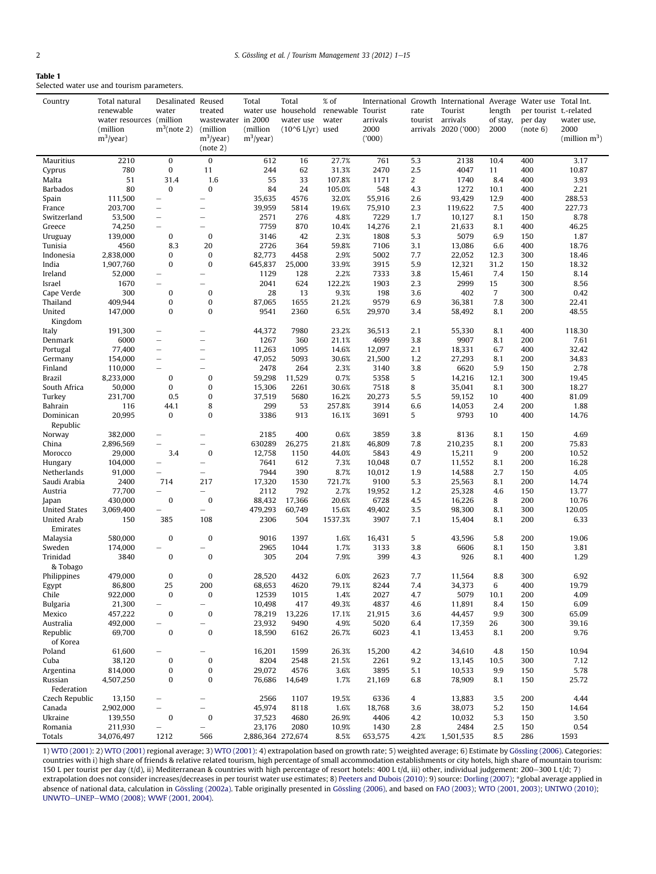<span id="page-1-0"></span>

| ю<br>L<br>ı |  |
|-------------|--|
|-------------|--|

Selected water use and tourism parameters.

| Country                       | Total natural<br>renewable<br>water resources (million<br>(million<br>$m^3$ /year) | Desalinated Reused<br>water<br>$m^3$ (note 2)                | treated<br>wastewater in 2000<br>(million<br>$m^3$ /year)<br>(note 2) | Total<br>(million<br>$m^3$ /year) | Total<br>water use household<br>water use<br>$(10^6$ L/yr) used | % of<br>renewable Tourist<br>water | arrivals<br>2000<br>(000) | rate           | International Growth International Average Water use Total Int.<br>Tourist<br>tourist arrivals<br>arrivals 2020 ('000) | length<br>of stay,<br>2000 | per tourist t,-related<br>per day<br>(note 6) | water use,<br>2000<br>(million $m^3$ ) |
|-------------------------------|------------------------------------------------------------------------------------|--------------------------------------------------------------|-----------------------------------------------------------------------|-----------------------------------|-----------------------------------------------------------------|------------------------------------|---------------------------|----------------|------------------------------------------------------------------------------------------------------------------------|----------------------------|-----------------------------------------------|----------------------------------------|
| Mauritius                     | 2210                                                                               | 0                                                            | $\bf{0}$                                                              | 612                               | 16                                                              | 27.7%                              | 761                       | 5.3            | 2138                                                                                                                   | 10.4                       | 400                                           | 3.17                                   |
| Cyprus                        | 780                                                                                | 0                                                            | 11                                                                    | 244                               | 62                                                              | 31.3%                              | 2470                      | 2.5            | 4047                                                                                                                   | 11                         | 400                                           | 10.87                                  |
| Malta                         | 51                                                                                 | 31.4                                                         | 1.6                                                                   | 55                                | 33                                                              | 107.8%                             | 1171                      | $\overline{c}$ | 1740                                                                                                                   | 8.4                        | 400                                           | 3.93                                   |
| <b>Barbados</b>               | 80                                                                                 | $\mathbf{0}$                                                 | $\bf{0}$                                                              | 84                                | 24                                                              | 105.0%                             | 548                       | 4.3            | 1272                                                                                                                   | 10.1                       | 400                                           | 2.21                                   |
| Spain                         | 111,500                                                                            | $\overline{\phantom{0}}$                                     | $\overline{\phantom{0}}$                                              | 35,635                            | 4576                                                            | 32.0%                              | 55,916                    | 2.6            | 93,429                                                                                                                 | 12.9                       | 400                                           | 288.53                                 |
| France                        | 203,700                                                                            | $\overline{\phantom{m}}$                                     |                                                                       | 39,959                            | 5814                                                            | 19.6%                              | 75,910                    | 2.3            | 119,622                                                                                                                | 7.5                        | 400                                           | 227.73                                 |
| Switzerland                   | 53,500                                                                             | $\overline{\phantom{0}}$<br>$\overbrace{\phantom{12322111}}$ | $\overline{\phantom{0}}$<br>$\overline{\phantom{0}}$                  | 2571<br>7759                      | 276<br>870                                                      | 4.8%                               | 7229                      | 1.7<br>2.1     | 10,127                                                                                                                 | 8.1<br>8.1                 | 150<br>400                                    | 8.78                                   |
| Greece<br>Uruguay             | 74,250<br>139,000                                                                  | 0                                                            | $\bf{0}$                                                              | 3146                              | 42                                                              | 10.4%<br>2.3%                      | 14,276<br>1808            | 5.3            | 21,633<br>5079                                                                                                         | 6.9                        | 150                                           | 46.25<br>1.87                          |
| Tunisia                       | 4560                                                                               | 8.3                                                          | 20                                                                    | 2726                              | 364                                                             | 59.8%                              | 7106                      | 3.1            | 13,086                                                                                                                 | 6.6                        | 400                                           | 18.76                                  |
| Indonesia                     | 2,838,000                                                                          | 0                                                            | $\bf{0}$                                                              | 82,773                            | 4458                                                            | 2.9%                               | 5002                      | 7.7            | 22,052                                                                                                                 | 12.3                       | 300                                           | 18.46                                  |
| India                         | 1,907,760                                                                          | 0                                                            | $\bf{0}$                                                              | 645,837                           | 25,000                                                          | 33.9%                              | 3915                      | 5.9            | 12,321                                                                                                                 | 31.2                       | 150                                           | 18.32                                  |
| Ireland                       | 52,000                                                                             |                                                              | $\overline{\phantom{0}}$                                              | 1129                              | 128                                                             | 2.2%                               | 7333                      | 3.8            | 15,461                                                                                                                 | 7.4                        | 150                                           | 8.14                                   |
| Israel                        | 1670                                                                               |                                                              | $\overline{\phantom{0}}$                                              | 2041                              | 624                                                             | 122.2%                             | 1903                      | 2.3            | 2999                                                                                                                   | 15                         | 300                                           | 8.56                                   |
| Cape Verde                    | 300                                                                                | $\bf{0}$                                                     | 0                                                                     | 28                                | 13                                                              | 9.3%                               | 198                       | 3.6            | 402                                                                                                                    | $\overline{7}$             | 300                                           | 0.42                                   |
| Thailand                      | 409,944                                                                            | 0                                                            | 0                                                                     | 87,065                            | 1655                                                            | 21.2%                              | 9579                      | 6.9            | 36,381                                                                                                                 | 7.8                        | 300                                           | 22.41                                  |
| United                        | 147,000                                                                            | 0                                                            | $\bf{0}$                                                              | 9541                              | 2360                                                            | 6.5%                               | 29,970                    | 3.4            | 58,492                                                                                                                 | 8.1                        | 200                                           | 48.55                                  |
| Kingdom                       |                                                                                    |                                                              |                                                                       |                                   |                                                                 |                                    |                           |                |                                                                                                                        |                            |                                               |                                        |
| Italy                         | 191,300                                                                            | $\overbrace{\phantom{12322111}}$                             | $\overline{\phantom{0}}$                                              | 44,372                            | 7980                                                            | 23.2%                              | 36,513                    | 2.1            | 55,330                                                                                                                 | 8.1                        | 400                                           | 118.30                                 |
| Denmark                       | 6000                                                                               | $\qquad \qquad -$                                            |                                                                       | 1267                              | 360                                                             | 21.1%                              | 4699                      | 3.8            | 9907                                                                                                                   | 8.1                        | 200                                           | 7.61                                   |
| Portugal                      | 77,400                                                                             | $\overline{\phantom{0}}$                                     | $\overline{\phantom{0}}$                                              | 11,263                            | 1095<br>5093                                                    | 14.6%                              | 12,097                    | 2.1            | 18,331                                                                                                                 | 6.7<br>8.1                 | 400<br>200                                    | 32.42                                  |
| Germany<br>Finland            | 154,000<br>110,000                                                                 | $\overline{\phantom{m}}$<br>$\overline{\phantom{0}}$         | $\overline{\phantom{0}}$<br>÷                                         | 47,052<br>2478                    | 264                                                             | 30.6%<br>2.3%                      | 21,500<br>3140            | 1.2<br>3.8     | 27,293<br>6620                                                                                                         | 5.9                        | 150                                           | 34.83<br>2.78                          |
| Brazil                        | 8,233,000                                                                          | $\mathbf{0}$                                                 | $\bf{0}$                                                              | 59,298                            | 11,529                                                          | 0.7%                               | 5358                      | 5              | 14,216                                                                                                                 | 12.1                       | 300                                           | 19.45                                  |
| South Africa                  | 50,000                                                                             | 0                                                            | 0                                                                     | 15,306                            | 2261                                                            | 30.6%                              | 7518                      | 8              | 35,041                                                                                                                 | 8.1                        | 300                                           | 18.27                                  |
| Turkey                        | 231,700                                                                            | 0.5                                                          | $\bf{0}$                                                              | 37,519                            | 5680                                                            | 16.2%                              | 20,273                    | 5.5            | 59,152                                                                                                                 | 10                         | 400                                           | 81.09                                  |
| Bahrain                       | 116                                                                                | 44.1                                                         | 8                                                                     | 299                               | 53                                                              | 257.8%                             | 3914                      | 6.6            | 14,053                                                                                                                 | 2.4                        | 200                                           | 1.88                                   |
| Dominican<br>Republic         | 20,995                                                                             | $\bf{0}$                                                     | 0                                                                     | 3386                              | 913                                                             | 16.1%                              | 3691                      | 5              | 9793                                                                                                                   | 10                         | 400                                           | 14.76                                  |
| Norway                        | 382,000                                                                            | L.                                                           |                                                                       | 2185                              | 400                                                             | 0.6%                               | 3859                      | 3.8            | 8136                                                                                                                   | 8.1                        | 150                                           | 4.69                                   |
| China                         | 2,896,569                                                                          | Ē,                                                           |                                                                       | 630289                            | 26,275                                                          | 21.8%                              | 46,809                    | 7.8            | 210,235                                                                                                                | 8.1                        | 200                                           | 75.83                                  |
| Morocco                       | 29,000                                                                             | 3.4                                                          | $\bf{0}$                                                              | 12,758                            | 1150                                                            | 44.0%                              | 5843                      | 4.9            | 15,211                                                                                                                 | 9                          | 200                                           | 10.52                                  |
| Hungary                       | 104,000                                                                            | $\overline{\phantom{0}}$                                     | $\overline{\phantom{0}}$                                              | 7641                              | 612                                                             | 7.3%                               | 10,048                    | 0.7            | 11,552                                                                                                                 | 8.1                        | 200                                           | 16.28                                  |
| Netherlands                   | 91,000                                                                             | $\qquad \qquad -$                                            | $\overline{\phantom{0}}$                                              | 7944                              | 390                                                             | 8.7%                               | 10,012                    | 1.9            | 14,588                                                                                                                 | 2.7                        | 150                                           | 4.05                                   |
| Saudi Arabia                  | 2400                                                                               | 714                                                          | 217                                                                   | 17,320                            | 1530                                                            | 721.7%                             | 9100                      | 5.3            | 25,563                                                                                                                 | 8.1                        | 200                                           | 14.74                                  |
| Austria                       | 77,700<br>430,000                                                                  | 0                                                            | -<br>$\bf{0}$                                                         | 2112<br>88,432                    | 792<br>17,366                                                   | 2.7%<br>20.6%                      | 19,952<br>6728            | 1.2<br>4.5     | 25,328<br>16,226                                                                                                       | 4.6<br>8                   | 150<br>200                                    | 13.77<br>10.76                         |
| Japan<br><b>United States</b> | 3,069,400                                                                          | L,                                                           | $\overline{\phantom{0}}$                                              | 479,293                           | 60,749                                                          | 15.6%                              | 49,402                    | 3.5            | 98,300                                                                                                                 | 8.1                        | 300                                           | 120.05                                 |
| <b>United Arab</b>            | 150                                                                                | 385                                                          | 108                                                                   | 2306                              | 504                                                             | 1537.3%                            | 3907                      | 7.1            | 15,404                                                                                                                 | 8.1                        | 200                                           | 6.33                                   |
| Emirates<br>Malaysia          | 580,000                                                                            | $\mathbf{0}$                                                 | $\bf{0}$                                                              | 9016                              | 1397                                                            | 1.6%                               | 16,431                    | 5              | 43,596                                                                                                                 | 5.8                        | 200                                           | 19.06                                  |
| Sweden                        | 174,000                                                                            |                                                              |                                                                       | 2965                              | 1044                                                            | 1.7%                               | 3133                      | 3.8            | 6606                                                                                                                   | 8.1                        | 150                                           | 3.81                                   |
| Trinidad<br>& Tobago          | 3840                                                                               | 0                                                            | $\bf{0}$                                                              | 305                               | 204                                                             | 7.9%                               | 399                       | 4.3            | 926                                                                                                                    | 8.1                        | 400                                           | 1.29                                   |
| Philippines                   | 479,000                                                                            | 0                                                            | 0                                                                     | 28,520                            | 4432                                                            | 6.0%                               | 2623                      | 7.7            | 11,564                                                                                                                 | 8.8                        | 300                                           | 6.92                                   |
| Egypt                         | 86,800                                                                             | 25                                                           | 200                                                                   | 68,653                            | 4620                                                            | 79.1%                              | 8244                      | 7.4            | 34,373                                                                                                                 | 6                          | 400                                           | 19.79                                  |
| Chile                         | 922,000                                                                            | 0                                                            | $\boldsymbol{0}$                                                      | 12539                             | 1015                                                            | 1.4%                               | 2027                      | 4.7            | 5079                                                                                                                   | 10.1                       | 200                                           | 4.09                                   |
| <b>Bulgaria</b>               | 21,300                                                                             |                                                              | -                                                                     | 10,498                            | 417                                                             | 49.3%                              | 4837                      | 4.6            | 11,891                                                                                                                 | 8.4                        | 150                                           | 6.09                                   |
| Mexico                        | 457,222                                                                            | 0                                                            | $\pmb{0}$                                                             | 78,219                            | 13,226                                                          | 17.1%                              | 21,915                    | 3.6            | 44,457                                                                                                                 | 9.9                        | 300                                           | 65.09                                  |
| Australia                     | 492,000                                                                            |                                                              |                                                                       | 23,932                            | 9490                                                            | 4.9%                               | 5020                      | 6.4            | 17,359                                                                                                                 | 26                         | 300                                           | 39.16                                  |
| Republic<br>of Korea          | 69,700                                                                             | 0                                                            | $\bf{0}$                                                              | 18,590                            | 6162                                                            | 26.7%                              | 6023                      | 4.1            | 13,453                                                                                                                 | 8.1                        | 200                                           | 9.76                                   |
| Poland                        | 61,600                                                                             |                                                              |                                                                       | 16,201                            | 1599                                                            | 26.3%                              | 15,200                    | 4.2            | 34,610                                                                                                                 | 4.8                        | 150                                           | 10.94                                  |
| Cuba                          | 38,120                                                                             | 0                                                            | $\boldsymbol{0}$                                                      | 8204                              | 2548                                                            | 21.5%                              | 2261                      | 9.2            | 13,145                                                                                                                 | 10.5                       | 300                                           | 7.12                                   |
| Argentina                     | 814,000                                                                            | 0                                                            | $\pmb{0}$                                                             | 29,072                            | 4576                                                            | 3.6%                               | 3895                      | 5.1            | 10,533                                                                                                                 | 9.9                        | 150                                           | 5.78                                   |
| Russian<br>Federation         | 4,507,250                                                                          | 0                                                            | $\bf{0}$                                                              | 76,686                            | 14,649                                                          | 1.7%                               | 21,169                    | 6.8            | 78,909                                                                                                                 | 8.1                        | 150                                           | 25.72                                  |
| Czech Republic                | 13,150                                                                             | -                                                            |                                                                       | 2566                              | 1107                                                            | 19.5%                              | 6336                      | 4              | 13,883                                                                                                                 | 3.5                        | 200                                           | 4.44                                   |
| Canada                        | 2,902,000                                                                          | $\overline{\phantom{0}}$                                     |                                                                       | 45,974                            | 8118                                                            | 1.6%                               | 18,768                    | 3.6            | 38,073                                                                                                                 | 5.2                        | 150                                           | 14.64                                  |
| Ukraine                       | 139,550                                                                            | 0                                                            | $\pmb{0}$                                                             | 37,523                            | 4680                                                            | 26.9%                              | 4406                      | 4.2            | 10,032                                                                                                                 | 5.3                        | 150                                           | 3.50                                   |
| Romania<br>Totals             | 211,930<br>34,076,497                                                              | $\overline{\phantom{0}}$<br>1212                             | -<br>566                                                              | 23,176<br>2,886,364 272,674       | 2080                                                            | 10.9%<br>8.5%                      | 1430<br>653,575           | 2.8<br>4.2%    | 2484<br>1,501,535                                                                                                      | 2.5<br>8.5                 | 150<br>286                                    | 0.54<br>1593                           |
|                               |                                                                                    |                                                              |                                                                       |                                   |                                                                 |                                    |                           |                |                                                                                                                        |                            |                                               |                                        |

1) [WTO \(2001\)](#page-14-0): 2) [WTO \(2001\)](#page-14-0) regional average; 3) [WTO \(2001\):](#page-14-0) 4) extrapolation based on growth rate; 5) weighted average; 6) Estimate by [Gössling \(2006\)](#page-13-0). Categories: countries with i) high share of friends & relative related tourism, high percentage of small accommodation establishments or city hotels, high share of mountain tourism: 150 L per tourist per day (t/d), ii) Mediterranean & countries with high percentage of resort hotels: 400 L t/d, iii) other, individual judgement: 200–300 L t/d; 7) extrapolation does not consider increases/decreases in per tourist water use estimates; 8) [Peeters and Dubois \(2010\)](#page-14-0): 9) source: [Dorling \(2007\)](#page-13-0); \*global average applied in absence of national data, calculation in [Gössling \(2002a\).](#page-13-0) Table originally presented in [Gössling \(2006\)](#page-13-0), and based on [FAO \(2003\)](#page-13-0); [WTO \(2001, 2003\);](#page-14-0) [UNTWO \(2010\);](#page-14-0) [UNWTO](#page-14-0)-[UNEP](#page-14-0)-[WMO \(2008\); WWF \(2001, 2004\)](#page-14-0).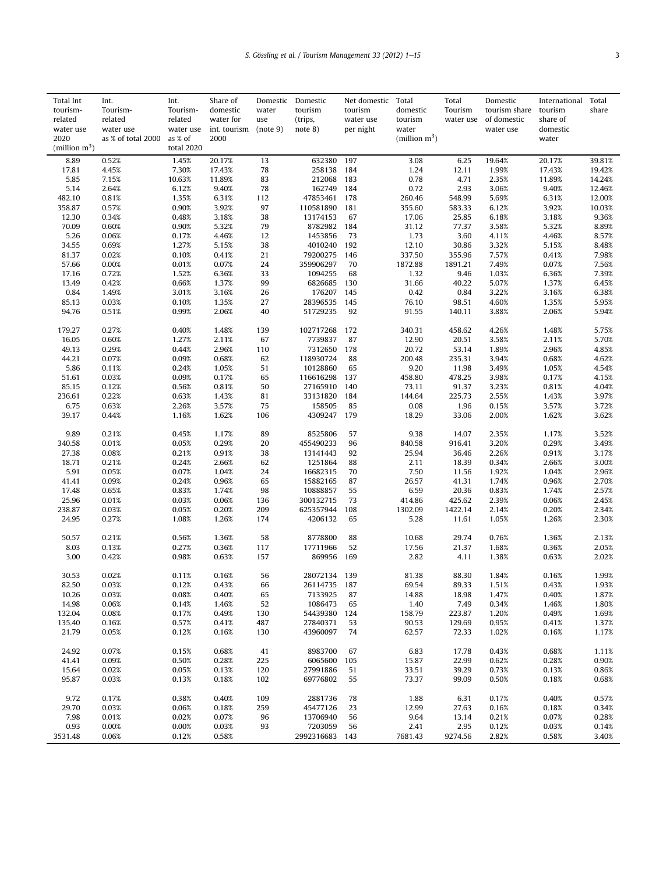| (million $m^3$ )<br>2020<br>as % of total 2000<br>as % of<br>2000<br>water<br>(million $m^3$ )<br>total 2020<br>8.89<br>0.52%<br>1.45%<br>20.17%<br>13<br>632380<br>197<br>3.08<br>6.25<br>19.64%<br>20.17%<br>39.81%<br>17.81<br>78<br>1.24<br>4.45%<br>7.30%<br>17.43%<br>258138<br>184<br>12.11<br>1.99%<br>17.43%<br>19.42%<br>0.78<br>5.85<br>7.15%<br>10.63%<br>11.89%<br>83<br>212068<br>183<br>4.71<br>2.35%<br>11.89%<br>14.24%<br>5.14<br>162749<br>0.72<br>2.64%<br>6.12%<br>9.40%<br>78<br>184<br>2.93<br>3.06%<br>9.40%<br>12.46%<br>548.99<br>482.10<br>0.81%<br>1.35%<br>6.31%<br>112<br>47853461<br>178<br>260.46<br>5.69%<br>6.31%<br>12.00%<br>0.90%<br>3.92%<br>97<br>3.92%<br>358.87<br>0.57%<br>110581890<br>181<br>355.60<br>583.33<br>6.12%<br>10.03%<br>12.30<br>0.34%<br>0.48%<br>3.18%<br>38<br>13174153<br>67<br>17.06<br>25.85<br>6.18%<br>3.18%<br>9.36%<br>70.09<br>0.90%<br>8782982<br>31.12<br>77.37<br>3.58%<br>5.32%<br>8.89%<br>0.60%<br>5.32%<br>79<br>184<br>5.26<br>4.46%<br>0.06%<br>0.17%<br>12<br>1453856<br>73<br>1.73<br>3.60<br>4.11%<br>4.46%<br>8.57%<br>34.55<br>0.69%<br>1.27%<br>5.15%<br>38<br>4010240<br>192<br>12.10<br>30.86<br>3.32%<br>5.15%<br>8.48%<br>81.37<br>0.02%<br>0.10%<br>0.41%<br>21<br>79200275<br>146<br>337.50<br>355.96<br>7.57%<br>0.41%<br>7.98%<br>57.66<br>0.07%<br>1872.88<br>0.00%<br>0.01%<br>24<br>359906297<br>70<br>1891.21<br>7.49%<br>0.07%<br>7.56%<br>33<br>17.16<br>0.72%<br>1.52%<br>6.36%<br>1094255<br>68<br>1.32<br>9.46<br>1.03%<br>6.36%<br>7.39%<br>31.66<br>13.49<br>0.42%<br>0.66%<br>1.37%<br>99<br>6826685<br>130<br>40.22<br>5.07%<br>1.37%<br>6.45%<br>0.84<br>176207<br>1.49%<br>3.01%<br>3.16%<br>26<br>145<br>0.42<br>0.84<br>3.22%<br>3.16%<br>6.38%<br>1.35%<br>28396535<br>85.13<br>0.03%<br>0.10%<br>27<br>145<br>76.10<br>98.51<br>4.60%<br>1.35%<br>5.95%<br>94.76<br>0.51%<br>0.99%<br>2.06%<br>40<br>51729235<br>92<br>91.55<br>140.11<br>3.88%<br>2.06%<br>5.94%<br>179.27<br>0.27%<br>0.40%<br>1.48%<br>139<br>102717268<br>172<br>340.31<br>458.62<br>4.26%<br>1.48%<br>5.75%<br>67<br>16.05<br>0.60%<br>1.27%<br>2.11%<br>7739837<br>87<br>12.90<br>20.51<br>3.58%<br>2.11%<br>5.70%<br>49.13<br>2.96%<br>20.72<br>53.14<br>2.96%<br>0.29%<br>0.44%<br>110<br>7312650<br>178<br>1.89%<br>4.85%<br>44.21<br>118930724<br>235.31<br>0.07%<br>0.09%<br>0.68%<br>62<br>88<br>200.48<br>3.94%<br>0.68%<br>4.62%<br>5.86<br>0.11%<br>0.24%<br>1.05%<br>51<br>10128860<br>65<br>9.20<br>11.98<br>3.49%<br>1.05%<br>4.54%<br>51.61<br>0.03%<br>0.09%<br>0.17%<br>65<br>116616298<br>137<br>458.80<br>478.25<br>3.98%<br>0.17%<br>4.15%<br>85.15<br>0.12%<br>0.56%<br>0.81%<br>50<br>27165910<br>140<br>73.11<br>91.37<br>3.23%<br>0.81%<br>4.04%<br>81<br>225.73<br>236.61<br>0.22%<br>0.63%<br>1.43%<br>33131820<br>184<br>144.64<br>2.55%<br>1.43%<br>3.97%<br>6.75<br>3.57%<br>158505<br>0.08<br>0.63%<br>2.26%<br>75<br>85<br>1.96<br>0.15%<br>3.57%<br>3.72%<br>4309247<br>39.17<br>1.62%<br>179<br>18.29<br>33.06<br>2.00%<br>1.62%<br>3.62%<br>0.44%<br>1.16%<br>106<br>9.89<br>0.21%<br>0.45%<br>1.17%<br>89<br>8525806<br>57<br>9.38<br>14.07<br>2.35%<br>1.17%<br>3.52%<br>340.58<br>0.01%<br>0.05%<br>0.29%<br>20<br>455490233<br>96<br>840.58<br>916.41<br>3.20%<br>0.29%<br>3.49%<br>27.38<br>0.08%<br>0.21%<br>0.91%<br>38<br>13141443<br>92<br>25.94<br>36.46<br>2.26%<br>0.91%<br>3.17%<br>18.71<br>88<br>0.21%<br>0.24%<br>2.66%<br>62<br>1251864<br>2.11<br>18.39<br>0.34%<br>2.66%<br>3.00%<br>5.91<br>0.05%<br>0.07%<br>1.04%<br>24<br>16682315<br>70<br>7.50<br>11.56<br>1.92%<br>1.04%<br>2.96%<br>26.57<br>41.31<br>41.41<br>0.09%<br>0.24%<br>0.96%<br>65<br>15882165<br>87<br>1.74%<br>0.96%<br>2.70%<br>98<br>55<br>6.59<br>2.57%<br>17.48<br>0.65%<br>0.83%<br>1.74%<br>10888857<br>20.36<br>0.83%<br>1.74%<br>25.96<br>0.06%<br>73<br>0.06%<br>0.01%<br>0.03%<br>136<br>300132715<br>414.86<br>425.62<br>2.39%<br>2.45%<br>238.87<br>0.03%<br>0.05%<br>0.20%<br>209<br>625357944<br>108<br>1302.09<br>1422.14<br>2.14%<br>0.20%<br>2.34%<br>24.95<br>0.27%<br>1.08%<br>1.26%<br>174<br>4206132<br>65<br>5.28<br>11.61<br>1.05%<br>1.26%<br>2.30%<br>50.57<br>0.21%<br>0.56%<br>1.36%<br>58<br>8778800<br>88<br>10.68<br>29.74<br>0.76%<br>1.36%<br>2.13%<br>8.03<br>0.36%<br>17711966<br>52<br>17.56<br>0.36%<br>0.13%<br>0.27%<br>117<br>21.37<br>1.68%<br>2.05%<br>3.00<br>0.98%<br>869956<br>169<br>2.82<br>2.02%<br>0.42%<br>0.63%<br>157<br>4.11<br>1.38%<br>0.63%<br>30.53<br>0.02%<br>0.11%<br>0.16%<br>56<br>28072134 139<br>81.38<br>88.30<br>1.84%<br>0.16%<br>1.99%<br>26114735 187<br>82.50<br>0.03%<br>0.12%<br>0.43%<br>66<br>69.54<br>89.33<br>1.51%<br>0.43%<br>1.93%<br>10.26<br>0.03%<br>0.08%<br>0.40%<br>65<br>7133925<br>87<br>14.88<br>18.98<br>1.47%<br>0.40%<br>1.87%<br>14.98<br>1086473<br>0.06%<br>0.14%<br>1.46%<br>52<br>65<br>1.40<br>7.49<br>0.34%<br>1.46%<br>1.80%<br>132.04<br>54439380<br>158.79<br>0.08%<br>0.17%<br>0.49%<br>130<br>124<br>223.87<br>1.20%<br>0.49%<br>1.69%<br>135.40<br>0.57%<br>0.41%<br>487<br>90.53<br>129.69<br>0.16%<br>27840371<br>53<br>0.95%<br>0.41%<br>1.37%<br>21.79<br>72.33<br>0.05%<br>0.12%<br>0.16%<br>130<br>43960097<br>74<br>62.57<br>1.02%<br>0.16%<br>1.17%<br>24.92<br>0.07%<br>0.15%<br>0.68%<br>41<br>8983700<br>67<br>6.83<br>17.78<br>0.43%<br>0.68%<br>1.11%<br>0.50%<br>6065600<br>105<br>15.87<br>22.99<br>0.90%<br>41.41<br>0.09%<br>0.28%<br>225<br>0.62%<br>0.28%<br>15.64<br>0.02%<br>0.05%<br>27991886<br>0.13%<br>0.13%<br>120<br>51<br>33.51<br>39.29<br>0.73%<br>0.86%<br>95.87<br>99.09<br>0.03%<br>0.13%<br>0.18%<br>102<br>69776802<br>55<br>73.37<br>0.50%<br>0.18%<br>0.68%<br>9.72<br>0.17%<br>0.38%<br>0.40%<br>109<br>2881736<br>1.88<br>6.31<br>0.17%<br>0.40%<br>0.57%<br>78<br>29.70<br>0.03%<br>0.06%<br>0.18%<br>259<br>45477126<br>23<br>12.99<br>27.63<br>0.16%<br>0.18%<br>0.34%<br>7.98<br>0.01%<br>0.02%<br>0.07%<br>96<br>13706940<br>56<br>9.64<br>0.21%<br>0.07%<br>0.28%<br>13.14<br>0.93<br>2.95<br>0.00%<br>0.00%<br>0.03%<br>93<br>7203059<br>56<br>2.41<br>0.12%<br>0.03%<br>0.14%<br>2992316683<br>3531.48<br>0.06%<br>0.12%<br>0.58%<br>143<br>7681.43<br>9274.56<br>2.82%<br>0.58%<br>3.40% | Total Int<br>tourism-<br>related<br>water use | Int.<br>Tourism-<br>related<br>water use | Int.<br>Tourism-<br>related<br>water use | Share of<br>domestic<br>water for<br>int. tourism | water<br>use<br>(note 9) | Domestic Domestic<br>tourism<br>(trips,<br>note 8) | Net domestic Total<br>tourism<br>water use<br>per night | domestic<br>tourism<br>water | Total<br>Tourism<br>water use | Domestic<br>tourism share tourism<br>of domestic<br>water use | International<br>share of<br>domestic | Total<br>share |
|-----------------------------------------------------------------------------------------------------------------------------------------------------------------------------------------------------------------------------------------------------------------------------------------------------------------------------------------------------------------------------------------------------------------------------------------------------------------------------------------------------------------------------------------------------------------------------------------------------------------------------------------------------------------------------------------------------------------------------------------------------------------------------------------------------------------------------------------------------------------------------------------------------------------------------------------------------------------------------------------------------------------------------------------------------------------------------------------------------------------------------------------------------------------------------------------------------------------------------------------------------------------------------------------------------------------------------------------------------------------------------------------------------------------------------------------------------------------------------------------------------------------------------------------------------------------------------------------------------------------------------------------------------------------------------------------------------------------------------------------------------------------------------------------------------------------------------------------------------------------------------------------------------------------------------------------------------------------------------------------------------------------------------------------------------------------------------------------------------------------------------------------------------------------------------------------------------------------------------------------------------------------------------------------------------------------------------------------------------------------------------------------------------------------------------------------------------------------------------------------------------------------------------------------------------------------------------------------------------------------------------------------------------------------------------------------------------------------------------------------------------------------------------------------------------------------------------------------------------------------------------------------------------------------------------------------------------------------------------------------------------------------------------------------------------------------------------------------------------------------------------------------------------------------------------------------------------------------------------------------------------------------------------------------------------------------------------------------------------------------------------------------------------------------------------------------------------------------------------------------------------------------------------------------------------------------------------------------------------------------------------------------------------------------------------------------------------------------------------------------------------------------------------------------------------------------------------------------------------------------------------------------------------------------------------------------------------------------------------------------------------------------------------------------------------------------------------------------------------------------------------------------------------------------------------------------------------------------------------------------------------------------------------------------------------------------------------------------------------------------------------------------------------------------------------------------------------------------------------------------------------------------------------------------------------------------------------------------------------------------------------------------------------------------------------------------------------------------------------------------------------------------------------------------------------------------------------------------------------------------------------------------------------------------------------------------------------------------------------------------------------------------------------------------------------------------------------------------------------------------------------------------------------------------------------------------------------------------------------------------------------------------------------------------------------------------------------------------------------------------------------------------------------------------------------------------------------------------------------------------------------------------------------------------------------------------------------------------------------------------------------------------------------------------------------------------------------------------------------------------------------------------------------------------------------------------------------------------------------------------------------------------------------------------------------------------------------------------------------------------------------------------------------------------------------------------------------------------------------------------------------------------------------------------------------------------------------------------------------------------------------------|-----------------------------------------------|------------------------------------------|------------------------------------------|---------------------------------------------------|--------------------------|----------------------------------------------------|---------------------------------------------------------|------------------------------|-------------------------------|---------------------------------------------------------------|---------------------------------------|----------------|
|                                                                                                                                                                                                                                                                                                                                                                                                                                                                                                                                                                                                                                                                                                                                                                                                                                                                                                                                                                                                                                                                                                                                                                                                                                                                                                                                                                                                                                                                                                                                                                                                                                                                                                                                                                                                                                                                                                                                                                                                                                                                                                                                                                                                                                                                                                                                                                                                                                                                                                                                                                                                                                                                                                                                                                                                                                                                                                                                                                                                                                                                                                                                                                                                                                                                                                                                                                                                                                                                                                                                                                                                                                                                                                                                                                                                                                                                                                                                                                                                                                                                                                                                                                                                                                                                                                                                                                                                                                                                                                                                                                                                                                                                                                                                                                                                                                                                                                                                                                                                                                                                                                                                                                                                                                                                                                                                                                                                                                                                                                                                                                                                                                                                                                                                                                                                                                                                                                                                                                                                                                                                                                                                                                                                                                                           |                                               |                                          |                                          |                                                   |                          |                                                    |                                                         |                              |                               |                                                               |                                       |                |
|                                                                                                                                                                                                                                                                                                                                                                                                                                                                                                                                                                                                                                                                                                                                                                                                                                                                                                                                                                                                                                                                                                                                                                                                                                                                                                                                                                                                                                                                                                                                                                                                                                                                                                                                                                                                                                                                                                                                                                                                                                                                                                                                                                                                                                                                                                                                                                                                                                                                                                                                                                                                                                                                                                                                                                                                                                                                                                                                                                                                                                                                                                                                                                                                                                                                                                                                                                                                                                                                                                                                                                                                                                                                                                                                                                                                                                                                                                                                                                                                                                                                                                                                                                                                                                                                                                                                                                                                                                                                                                                                                                                                                                                                                                                                                                                                                                                                                                                                                                                                                                                                                                                                                                                                                                                                                                                                                                                                                                                                                                                                                                                                                                                                                                                                                                                                                                                                                                                                                                                                                                                                                                                                                                                                                                                           |                                               |                                          |                                          |                                                   |                          |                                                    |                                                         |                              |                               |                                                               |                                       |                |
|                                                                                                                                                                                                                                                                                                                                                                                                                                                                                                                                                                                                                                                                                                                                                                                                                                                                                                                                                                                                                                                                                                                                                                                                                                                                                                                                                                                                                                                                                                                                                                                                                                                                                                                                                                                                                                                                                                                                                                                                                                                                                                                                                                                                                                                                                                                                                                                                                                                                                                                                                                                                                                                                                                                                                                                                                                                                                                                                                                                                                                                                                                                                                                                                                                                                                                                                                                                                                                                                                                                                                                                                                                                                                                                                                                                                                                                                                                                                                                                                                                                                                                                                                                                                                                                                                                                                                                                                                                                                                                                                                                                                                                                                                                                                                                                                                                                                                                                                                                                                                                                                                                                                                                                                                                                                                                                                                                                                                                                                                                                                                                                                                                                                                                                                                                                                                                                                                                                                                                                                                                                                                                                                                                                                                                                           |                                               |                                          |                                          |                                                   |                          |                                                    |                                                         |                              |                               |                                                               |                                       |                |
|                                                                                                                                                                                                                                                                                                                                                                                                                                                                                                                                                                                                                                                                                                                                                                                                                                                                                                                                                                                                                                                                                                                                                                                                                                                                                                                                                                                                                                                                                                                                                                                                                                                                                                                                                                                                                                                                                                                                                                                                                                                                                                                                                                                                                                                                                                                                                                                                                                                                                                                                                                                                                                                                                                                                                                                                                                                                                                                                                                                                                                                                                                                                                                                                                                                                                                                                                                                                                                                                                                                                                                                                                                                                                                                                                                                                                                                                                                                                                                                                                                                                                                                                                                                                                                                                                                                                                                                                                                                                                                                                                                                                                                                                                                                                                                                                                                                                                                                                                                                                                                                                                                                                                                                                                                                                                                                                                                                                                                                                                                                                                                                                                                                                                                                                                                                                                                                                                                                                                                                                                                                                                                                                                                                                                                                           |                                               |                                          |                                          |                                                   |                          |                                                    |                                                         |                              |                               |                                                               |                                       |                |
|                                                                                                                                                                                                                                                                                                                                                                                                                                                                                                                                                                                                                                                                                                                                                                                                                                                                                                                                                                                                                                                                                                                                                                                                                                                                                                                                                                                                                                                                                                                                                                                                                                                                                                                                                                                                                                                                                                                                                                                                                                                                                                                                                                                                                                                                                                                                                                                                                                                                                                                                                                                                                                                                                                                                                                                                                                                                                                                                                                                                                                                                                                                                                                                                                                                                                                                                                                                                                                                                                                                                                                                                                                                                                                                                                                                                                                                                                                                                                                                                                                                                                                                                                                                                                                                                                                                                                                                                                                                                                                                                                                                                                                                                                                                                                                                                                                                                                                                                                                                                                                                                                                                                                                                                                                                                                                                                                                                                                                                                                                                                                                                                                                                                                                                                                                                                                                                                                                                                                                                                                                                                                                                                                                                                                                                           |                                               |                                          |                                          |                                                   |                          |                                                    |                                                         |                              |                               |                                                               |                                       |                |
|                                                                                                                                                                                                                                                                                                                                                                                                                                                                                                                                                                                                                                                                                                                                                                                                                                                                                                                                                                                                                                                                                                                                                                                                                                                                                                                                                                                                                                                                                                                                                                                                                                                                                                                                                                                                                                                                                                                                                                                                                                                                                                                                                                                                                                                                                                                                                                                                                                                                                                                                                                                                                                                                                                                                                                                                                                                                                                                                                                                                                                                                                                                                                                                                                                                                                                                                                                                                                                                                                                                                                                                                                                                                                                                                                                                                                                                                                                                                                                                                                                                                                                                                                                                                                                                                                                                                                                                                                                                                                                                                                                                                                                                                                                                                                                                                                                                                                                                                                                                                                                                                                                                                                                                                                                                                                                                                                                                                                                                                                                                                                                                                                                                                                                                                                                                                                                                                                                                                                                                                                                                                                                                                                                                                                                                           |                                               |                                          |                                          |                                                   |                          |                                                    |                                                         |                              |                               |                                                               |                                       |                |
|                                                                                                                                                                                                                                                                                                                                                                                                                                                                                                                                                                                                                                                                                                                                                                                                                                                                                                                                                                                                                                                                                                                                                                                                                                                                                                                                                                                                                                                                                                                                                                                                                                                                                                                                                                                                                                                                                                                                                                                                                                                                                                                                                                                                                                                                                                                                                                                                                                                                                                                                                                                                                                                                                                                                                                                                                                                                                                                                                                                                                                                                                                                                                                                                                                                                                                                                                                                                                                                                                                                                                                                                                                                                                                                                                                                                                                                                                                                                                                                                                                                                                                                                                                                                                                                                                                                                                                                                                                                                                                                                                                                                                                                                                                                                                                                                                                                                                                                                                                                                                                                                                                                                                                                                                                                                                                                                                                                                                                                                                                                                                                                                                                                                                                                                                                                                                                                                                                                                                                                                                                                                                                                                                                                                                                                           |                                               |                                          |                                          |                                                   |                          |                                                    |                                                         |                              |                               |                                                               |                                       |                |
|                                                                                                                                                                                                                                                                                                                                                                                                                                                                                                                                                                                                                                                                                                                                                                                                                                                                                                                                                                                                                                                                                                                                                                                                                                                                                                                                                                                                                                                                                                                                                                                                                                                                                                                                                                                                                                                                                                                                                                                                                                                                                                                                                                                                                                                                                                                                                                                                                                                                                                                                                                                                                                                                                                                                                                                                                                                                                                                                                                                                                                                                                                                                                                                                                                                                                                                                                                                                                                                                                                                                                                                                                                                                                                                                                                                                                                                                                                                                                                                                                                                                                                                                                                                                                                                                                                                                                                                                                                                                                                                                                                                                                                                                                                                                                                                                                                                                                                                                                                                                                                                                                                                                                                                                                                                                                                                                                                                                                                                                                                                                                                                                                                                                                                                                                                                                                                                                                                                                                                                                                                                                                                                                                                                                                                                           |                                               |                                          |                                          |                                                   |                          |                                                    |                                                         |                              |                               |                                                               |                                       |                |
|                                                                                                                                                                                                                                                                                                                                                                                                                                                                                                                                                                                                                                                                                                                                                                                                                                                                                                                                                                                                                                                                                                                                                                                                                                                                                                                                                                                                                                                                                                                                                                                                                                                                                                                                                                                                                                                                                                                                                                                                                                                                                                                                                                                                                                                                                                                                                                                                                                                                                                                                                                                                                                                                                                                                                                                                                                                                                                                                                                                                                                                                                                                                                                                                                                                                                                                                                                                                                                                                                                                                                                                                                                                                                                                                                                                                                                                                                                                                                                                                                                                                                                                                                                                                                                                                                                                                                                                                                                                                                                                                                                                                                                                                                                                                                                                                                                                                                                                                                                                                                                                                                                                                                                                                                                                                                                                                                                                                                                                                                                                                                                                                                                                                                                                                                                                                                                                                                                                                                                                                                                                                                                                                                                                                                                                           |                                               |                                          |                                          |                                                   |                          |                                                    |                                                         |                              |                               |                                                               |                                       |                |
|                                                                                                                                                                                                                                                                                                                                                                                                                                                                                                                                                                                                                                                                                                                                                                                                                                                                                                                                                                                                                                                                                                                                                                                                                                                                                                                                                                                                                                                                                                                                                                                                                                                                                                                                                                                                                                                                                                                                                                                                                                                                                                                                                                                                                                                                                                                                                                                                                                                                                                                                                                                                                                                                                                                                                                                                                                                                                                                                                                                                                                                                                                                                                                                                                                                                                                                                                                                                                                                                                                                                                                                                                                                                                                                                                                                                                                                                                                                                                                                                                                                                                                                                                                                                                                                                                                                                                                                                                                                                                                                                                                                                                                                                                                                                                                                                                                                                                                                                                                                                                                                                                                                                                                                                                                                                                                                                                                                                                                                                                                                                                                                                                                                                                                                                                                                                                                                                                                                                                                                                                                                                                                                                                                                                                                                           |                                               |                                          |                                          |                                                   |                          |                                                    |                                                         |                              |                               |                                                               |                                       |                |
|                                                                                                                                                                                                                                                                                                                                                                                                                                                                                                                                                                                                                                                                                                                                                                                                                                                                                                                                                                                                                                                                                                                                                                                                                                                                                                                                                                                                                                                                                                                                                                                                                                                                                                                                                                                                                                                                                                                                                                                                                                                                                                                                                                                                                                                                                                                                                                                                                                                                                                                                                                                                                                                                                                                                                                                                                                                                                                                                                                                                                                                                                                                                                                                                                                                                                                                                                                                                                                                                                                                                                                                                                                                                                                                                                                                                                                                                                                                                                                                                                                                                                                                                                                                                                                                                                                                                                                                                                                                                                                                                                                                                                                                                                                                                                                                                                                                                                                                                                                                                                                                                                                                                                                                                                                                                                                                                                                                                                                                                                                                                                                                                                                                                                                                                                                                                                                                                                                                                                                                                                                                                                                                                                                                                                                                           |                                               |                                          |                                          |                                                   |                          |                                                    |                                                         |                              |                               |                                                               |                                       |                |
|                                                                                                                                                                                                                                                                                                                                                                                                                                                                                                                                                                                                                                                                                                                                                                                                                                                                                                                                                                                                                                                                                                                                                                                                                                                                                                                                                                                                                                                                                                                                                                                                                                                                                                                                                                                                                                                                                                                                                                                                                                                                                                                                                                                                                                                                                                                                                                                                                                                                                                                                                                                                                                                                                                                                                                                                                                                                                                                                                                                                                                                                                                                                                                                                                                                                                                                                                                                                                                                                                                                                                                                                                                                                                                                                                                                                                                                                                                                                                                                                                                                                                                                                                                                                                                                                                                                                                                                                                                                                                                                                                                                                                                                                                                                                                                                                                                                                                                                                                                                                                                                                                                                                                                                                                                                                                                                                                                                                                                                                                                                                                                                                                                                                                                                                                                                                                                                                                                                                                                                                                                                                                                                                                                                                                                                           |                                               |                                          |                                          |                                                   |                          |                                                    |                                                         |                              |                               |                                                               |                                       |                |
|                                                                                                                                                                                                                                                                                                                                                                                                                                                                                                                                                                                                                                                                                                                                                                                                                                                                                                                                                                                                                                                                                                                                                                                                                                                                                                                                                                                                                                                                                                                                                                                                                                                                                                                                                                                                                                                                                                                                                                                                                                                                                                                                                                                                                                                                                                                                                                                                                                                                                                                                                                                                                                                                                                                                                                                                                                                                                                                                                                                                                                                                                                                                                                                                                                                                                                                                                                                                                                                                                                                                                                                                                                                                                                                                                                                                                                                                                                                                                                                                                                                                                                                                                                                                                                                                                                                                                                                                                                                                                                                                                                                                                                                                                                                                                                                                                                                                                                                                                                                                                                                                                                                                                                                                                                                                                                                                                                                                                                                                                                                                                                                                                                                                                                                                                                                                                                                                                                                                                                                                                                                                                                                                                                                                                                                           |                                               |                                          |                                          |                                                   |                          |                                                    |                                                         |                              |                               |                                                               |                                       |                |
|                                                                                                                                                                                                                                                                                                                                                                                                                                                                                                                                                                                                                                                                                                                                                                                                                                                                                                                                                                                                                                                                                                                                                                                                                                                                                                                                                                                                                                                                                                                                                                                                                                                                                                                                                                                                                                                                                                                                                                                                                                                                                                                                                                                                                                                                                                                                                                                                                                                                                                                                                                                                                                                                                                                                                                                                                                                                                                                                                                                                                                                                                                                                                                                                                                                                                                                                                                                                                                                                                                                                                                                                                                                                                                                                                                                                                                                                                                                                                                                                                                                                                                                                                                                                                                                                                                                                                                                                                                                                                                                                                                                                                                                                                                                                                                                                                                                                                                                                                                                                                                                                                                                                                                                                                                                                                                                                                                                                                                                                                                                                                                                                                                                                                                                                                                                                                                                                                                                                                                                                                                                                                                                                                                                                                                                           |                                               |                                          |                                          |                                                   |                          |                                                    |                                                         |                              |                               |                                                               |                                       |                |
|                                                                                                                                                                                                                                                                                                                                                                                                                                                                                                                                                                                                                                                                                                                                                                                                                                                                                                                                                                                                                                                                                                                                                                                                                                                                                                                                                                                                                                                                                                                                                                                                                                                                                                                                                                                                                                                                                                                                                                                                                                                                                                                                                                                                                                                                                                                                                                                                                                                                                                                                                                                                                                                                                                                                                                                                                                                                                                                                                                                                                                                                                                                                                                                                                                                                                                                                                                                                                                                                                                                                                                                                                                                                                                                                                                                                                                                                                                                                                                                                                                                                                                                                                                                                                                                                                                                                                                                                                                                                                                                                                                                                                                                                                                                                                                                                                                                                                                                                                                                                                                                                                                                                                                                                                                                                                                                                                                                                                                                                                                                                                                                                                                                                                                                                                                                                                                                                                                                                                                                                                                                                                                                                                                                                                                                           |                                               |                                          |                                          |                                                   |                          |                                                    |                                                         |                              |                               |                                                               |                                       |                |
|                                                                                                                                                                                                                                                                                                                                                                                                                                                                                                                                                                                                                                                                                                                                                                                                                                                                                                                                                                                                                                                                                                                                                                                                                                                                                                                                                                                                                                                                                                                                                                                                                                                                                                                                                                                                                                                                                                                                                                                                                                                                                                                                                                                                                                                                                                                                                                                                                                                                                                                                                                                                                                                                                                                                                                                                                                                                                                                                                                                                                                                                                                                                                                                                                                                                                                                                                                                                                                                                                                                                                                                                                                                                                                                                                                                                                                                                                                                                                                                                                                                                                                                                                                                                                                                                                                                                                                                                                                                                                                                                                                                                                                                                                                                                                                                                                                                                                                                                                                                                                                                                                                                                                                                                                                                                                                                                                                                                                                                                                                                                                                                                                                                                                                                                                                                                                                                                                                                                                                                                                                                                                                                                                                                                                                                           |                                               |                                          |                                          |                                                   |                          |                                                    |                                                         |                              |                               |                                                               |                                       |                |
|                                                                                                                                                                                                                                                                                                                                                                                                                                                                                                                                                                                                                                                                                                                                                                                                                                                                                                                                                                                                                                                                                                                                                                                                                                                                                                                                                                                                                                                                                                                                                                                                                                                                                                                                                                                                                                                                                                                                                                                                                                                                                                                                                                                                                                                                                                                                                                                                                                                                                                                                                                                                                                                                                                                                                                                                                                                                                                                                                                                                                                                                                                                                                                                                                                                                                                                                                                                                                                                                                                                                                                                                                                                                                                                                                                                                                                                                                                                                                                                                                                                                                                                                                                                                                                                                                                                                                                                                                                                                                                                                                                                                                                                                                                                                                                                                                                                                                                                                                                                                                                                                                                                                                                                                                                                                                                                                                                                                                                                                                                                                                                                                                                                                                                                                                                                                                                                                                                                                                                                                                                                                                                                                                                                                                                                           |                                               |                                          |                                          |                                                   |                          |                                                    |                                                         |                              |                               |                                                               |                                       |                |
|                                                                                                                                                                                                                                                                                                                                                                                                                                                                                                                                                                                                                                                                                                                                                                                                                                                                                                                                                                                                                                                                                                                                                                                                                                                                                                                                                                                                                                                                                                                                                                                                                                                                                                                                                                                                                                                                                                                                                                                                                                                                                                                                                                                                                                                                                                                                                                                                                                                                                                                                                                                                                                                                                                                                                                                                                                                                                                                                                                                                                                                                                                                                                                                                                                                                                                                                                                                                                                                                                                                                                                                                                                                                                                                                                                                                                                                                                                                                                                                                                                                                                                                                                                                                                                                                                                                                                                                                                                                                                                                                                                                                                                                                                                                                                                                                                                                                                                                                                                                                                                                                                                                                                                                                                                                                                                                                                                                                                                                                                                                                                                                                                                                                                                                                                                                                                                                                                                                                                                                                                                                                                                                                                                                                                                                           |                                               |                                          |                                          |                                                   |                          |                                                    |                                                         |                              |                               |                                                               |                                       |                |
|                                                                                                                                                                                                                                                                                                                                                                                                                                                                                                                                                                                                                                                                                                                                                                                                                                                                                                                                                                                                                                                                                                                                                                                                                                                                                                                                                                                                                                                                                                                                                                                                                                                                                                                                                                                                                                                                                                                                                                                                                                                                                                                                                                                                                                                                                                                                                                                                                                                                                                                                                                                                                                                                                                                                                                                                                                                                                                                                                                                                                                                                                                                                                                                                                                                                                                                                                                                                                                                                                                                                                                                                                                                                                                                                                                                                                                                                                                                                                                                                                                                                                                                                                                                                                                                                                                                                                                                                                                                                                                                                                                                                                                                                                                                                                                                                                                                                                                                                                                                                                                                                                                                                                                                                                                                                                                                                                                                                                                                                                                                                                                                                                                                                                                                                                                                                                                                                                                                                                                                                                                                                                                                                                                                                                                                           |                                               |                                          |                                          |                                                   |                          |                                                    |                                                         |                              |                               |                                                               |                                       |                |
|                                                                                                                                                                                                                                                                                                                                                                                                                                                                                                                                                                                                                                                                                                                                                                                                                                                                                                                                                                                                                                                                                                                                                                                                                                                                                                                                                                                                                                                                                                                                                                                                                                                                                                                                                                                                                                                                                                                                                                                                                                                                                                                                                                                                                                                                                                                                                                                                                                                                                                                                                                                                                                                                                                                                                                                                                                                                                                                                                                                                                                                                                                                                                                                                                                                                                                                                                                                                                                                                                                                                                                                                                                                                                                                                                                                                                                                                                                                                                                                                                                                                                                                                                                                                                                                                                                                                                                                                                                                                                                                                                                                                                                                                                                                                                                                                                                                                                                                                                                                                                                                                                                                                                                                                                                                                                                                                                                                                                                                                                                                                                                                                                                                                                                                                                                                                                                                                                                                                                                                                                                                                                                                                                                                                                                                           |                                               |                                          |                                          |                                                   |                          |                                                    |                                                         |                              |                               |                                                               |                                       |                |
|                                                                                                                                                                                                                                                                                                                                                                                                                                                                                                                                                                                                                                                                                                                                                                                                                                                                                                                                                                                                                                                                                                                                                                                                                                                                                                                                                                                                                                                                                                                                                                                                                                                                                                                                                                                                                                                                                                                                                                                                                                                                                                                                                                                                                                                                                                                                                                                                                                                                                                                                                                                                                                                                                                                                                                                                                                                                                                                                                                                                                                                                                                                                                                                                                                                                                                                                                                                                                                                                                                                                                                                                                                                                                                                                                                                                                                                                                                                                                                                                                                                                                                                                                                                                                                                                                                                                                                                                                                                                                                                                                                                                                                                                                                                                                                                                                                                                                                                                                                                                                                                                                                                                                                                                                                                                                                                                                                                                                                                                                                                                                                                                                                                                                                                                                                                                                                                                                                                                                                                                                                                                                                                                                                                                                                                           |                                               |                                          |                                          |                                                   |                          |                                                    |                                                         |                              |                               |                                                               |                                       |                |
|                                                                                                                                                                                                                                                                                                                                                                                                                                                                                                                                                                                                                                                                                                                                                                                                                                                                                                                                                                                                                                                                                                                                                                                                                                                                                                                                                                                                                                                                                                                                                                                                                                                                                                                                                                                                                                                                                                                                                                                                                                                                                                                                                                                                                                                                                                                                                                                                                                                                                                                                                                                                                                                                                                                                                                                                                                                                                                                                                                                                                                                                                                                                                                                                                                                                                                                                                                                                                                                                                                                                                                                                                                                                                                                                                                                                                                                                                                                                                                                                                                                                                                                                                                                                                                                                                                                                                                                                                                                                                                                                                                                                                                                                                                                                                                                                                                                                                                                                                                                                                                                                                                                                                                                                                                                                                                                                                                                                                                                                                                                                                                                                                                                                                                                                                                                                                                                                                                                                                                                                                                                                                                                                                                                                                                                           |                                               |                                          |                                          |                                                   |                          |                                                    |                                                         |                              |                               |                                                               |                                       |                |
|                                                                                                                                                                                                                                                                                                                                                                                                                                                                                                                                                                                                                                                                                                                                                                                                                                                                                                                                                                                                                                                                                                                                                                                                                                                                                                                                                                                                                                                                                                                                                                                                                                                                                                                                                                                                                                                                                                                                                                                                                                                                                                                                                                                                                                                                                                                                                                                                                                                                                                                                                                                                                                                                                                                                                                                                                                                                                                                                                                                                                                                                                                                                                                                                                                                                                                                                                                                                                                                                                                                                                                                                                                                                                                                                                                                                                                                                                                                                                                                                                                                                                                                                                                                                                                                                                                                                                                                                                                                                                                                                                                                                                                                                                                                                                                                                                                                                                                                                                                                                                                                                                                                                                                                                                                                                                                                                                                                                                                                                                                                                                                                                                                                                                                                                                                                                                                                                                                                                                                                                                                                                                                                                                                                                                                                           |                                               |                                          |                                          |                                                   |                          |                                                    |                                                         |                              |                               |                                                               |                                       |                |
|                                                                                                                                                                                                                                                                                                                                                                                                                                                                                                                                                                                                                                                                                                                                                                                                                                                                                                                                                                                                                                                                                                                                                                                                                                                                                                                                                                                                                                                                                                                                                                                                                                                                                                                                                                                                                                                                                                                                                                                                                                                                                                                                                                                                                                                                                                                                                                                                                                                                                                                                                                                                                                                                                                                                                                                                                                                                                                                                                                                                                                                                                                                                                                                                                                                                                                                                                                                                                                                                                                                                                                                                                                                                                                                                                                                                                                                                                                                                                                                                                                                                                                                                                                                                                                                                                                                                                                                                                                                                                                                                                                                                                                                                                                                                                                                                                                                                                                                                                                                                                                                                                                                                                                                                                                                                                                                                                                                                                                                                                                                                                                                                                                                                                                                                                                                                                                                                                                                                                                                                                                                                                                                                                                                                                                                           |                                               |                                          |                                          |                                                   |                          |                                                    |                                                         |                              |                               |                                                               |                                       |                |
|                                                                                                                                                                                                                                                                                                                                                                                                                                                                                                                                                                                                                                                                                                                                                                                                                                                                                                                                                                                                                                                                                                                                                                                                                                                                                                                                                                                                                                                                                                                                                                                                                                                                                                                                                                                                                                                                                                                                                                                                                                                                                                                                                                                                                                                                                                                                                                                                                                                                                                                                                                                                                                                                                                                                                                                                                                                                                                                                                                                                                                                                                                                                                                                                                                                                                                                                                                                                                                                                                                                                                                                                                                                                                                                                                                                                                                                                                                                                                                                                                                                                                                                                                                                                                                                                                                                                                                                                                                                                                                                                                                                                                                                                                                                                                                                                                                                                                                                                                                                                                                                                                                                                                                                                                                                                                                                                                                                                                                                                                                                                                                                                                                                                                                                                                                                                                                                                                                                                                                                                                                                                                                                                                                                                                                                           |                                               |                                          |                                          |                                                   |                          |                                                    |                                                         |                              |                               |                                                               |                                       |                |
|                                                                                                                                                                                                                                                                                                                                                                                                                                                                                                                                                                                                                                                                                                                                                                                                                                                                                                                                                                                                                                                                                                                                                                                                                                                                                                                                                                                                                                                                                                                                                                                                                                                                                                                                                                                                                                                                                                                                                                                                                                                                                                                                                                                                                                                                                                                                                                                                                                                                                                                                                                                                                                                                                                                                                                                                                                                                                                                                                                                                                                                                                                                                                                                                                                                                                                                                                                                                                                                                                                                                                                                                                                                                                                                                                                                                                                                                                                                                                                                                                                                                                                                                                                                                                                                                                                                                                                                                                                                                                                                                                                                                                                                                                                                                                                                                                                                                                                                                                                                                                                                                                                                                                                                                                                                                                                                                                                                                                                                                                                                                                                                                                                                                                                                                                                                                                                                                                                                                                                                                                                                                                                                                                                                                                                                           |                                               |                                          |                                          |                                                   |                          |                                                    |                                                         |                              |                               |                                                               |                                       |                |
|                                                                                                                                                                                                                                                                                                                                                                                                                                                                                                                                                                                                                                                                                                                                                                                                                                                                                                                                                                                                                                                                                                                                                                                                                                                                                                                                                                                                                                                                                                                                                                                                                                                                                                                                                                                                                                                                                                                                                                                                                                                                                                                                                                                                                                                                                                                                                                                                                                                                                                                                                                                                                                                                                                                                                                                                                                                                                                                                                                                                                                                                                                                                                                                                                                                                                                                                                                                                                                                                                                                                                                                                                                                                                                                                                                                                                                                                                                                                                                                                                                                                                                                                                                                                                                                                                                                                                                                                                                                                                                                                                                                                                                                                                                                                                                                                                                                                                                                                                                                                                                                                                                                                                                                                                                                                                                                                                                                                                                                                                                                                                                                                                                                                                                                                                                                                                                                                                                                                                                                                                                                                                                                                                                                                                                                           |                                               |                                          |                                          |                                                   |                          |                                                    |                                                         |                              |                               |                                                               |                                       |                |
|                                                                                                                                                                                                                                                                                                                                                                                                                                                                                                                                                                                                                                                                                                                                                                                                                                                                                                                                                                                                                                                                                                                                                                                                                                                                                                                                                                                                                                                                                                                                                                                                                                                                                                                                                                                                                                                                                                                                                                                                                                                                                                                                                                                                                                                                                                                                                                                                                                                                                                                                                                                                                                                                                                                                                                                                                                                                                                                                                                                                                                                                                                                                                                                                                                                                                                                                                                                                                                                                                                                                                                                                                                                                                                                                                                                                                                                                                                                                                                                                                                                                                                                                                                                                                                                                                                                                                                                                                                                                                                                                                                                                                                                                                                                                                                                                                                                                                                                                                                                                                                                                                                                                                                                                                                                                                                                                                                                                                                                                                                                                                                                                                                                                                                                                                                                                                                                                                                                                                                                                                                                                                                                                                                                                                                                           |                                               |                                          |                                          |                                                   |                          |                                                    |                                                         |                              |                               |                                                               |                                       |                |
|                                                                                                                                                                                                                                                                                                                                                                                                                                                                                                                                                                                                                                                                                                                                                                                                                                                                                                                                                                                                                                                                                                                                                                                                                                                                                                                                                                                                                                                                                                                                                                                                                                                                                                                                                                                                                                                                                                                                                                                                                                                                                                                                                                                                                                                                                                                                                                                                                                                                                                                                                                                                                                                                                                                                                                                                                                                                                                                                                                                                                                                                                                                                                                                                                                                                                                                                                                                                                                                                                                                                                                                                                                                                                                                                                                                                                                                                                                                                                                                                                                                                                                                                                                                                                                                                                                                                                                                                                                                                                                                                                                                                                                                                                                                                                                                                                                                                                                                                                                                                                                                                                                                                                                                                                                                                                                                                                                                                                                                                                                                                                                                                                                                                                                                                                                                                                                                                                                                                                                                                                                                                                                                                                                                                                                                           |                                               |                                          |                                          |                                                   |                          |                                                    |                                                         |                              |                               |                                                               |                                       |                |
|                                                                                                                                                                                                                                                                                                                                                                                                                                                                                                                                                                                                                                                                                                                                                                                                                                                                                                                                                                                                                                                                                                                                                                                                                                                                                                                                                                                                                                                                                                                                                                                                                                                                                                                                                                                                                                                                                                                                                                                                                                                                                                                                                                                                                                                                                                                                                                                                                                                                                                                                                                                                                                                                                                                                                                                                                                                                                                                                                                                                                                                                                                                                                                                                                                                                                                                                                                                                                                                                                                                                                                                                                                                                                                                                                                                                                                                                                                                                                                                                                                                                                                                                                                                                                                                                                                                                                                                                                                                                                                                                                                                                                                                                                                                                                                                                                                                                                                                                                                                                                                                                                                                                                                                                                                                                                                                                                                                                                                                                                                                                                                                                                                                                                                                                                                                                                                                                                                                                                                                                                                                                                                                                                                                                                                                           |                                               |                                          |                                          |                                                   |                          |                                                    |                                                         |                              |                               |                                                               |                                       |                |
|                                                                                                                                                                                                                                                                                                                                                                                                                                                                                                                                                                                                                                                                                                                                                                                                                                                                                                                                                                                                                                                                                                                                                                                                                                                                                                                                                                                                                                                                                                                                                                                                                                                                                                                                                                                                                                                                                                                                                                                                                                                                                                                                                                                                                                                                                                                                                                                                                                                                                                                                                                                                                                                                                                                                                                                                                                                                                                                                                                                                                                                                                                                                                                                                                                                                                                                                                                                                                                                                                                                                                                                                                                                                                                                                                                                                                                                                                                                                                                                                                                                                                                                                                                                                                                                                                                                                                                                                                                                                                                                                                                                                                                                                                                                                                                                                                                                                                                                                                                                                                                                                                                                                                                                                                                                                                                                                                                                                                                                                                                                                                                                                                                                                                                                                                                                                                                                                                                                                                                                                                                                                                                                                                                                                                                                           |                                               |                                          |                                          |                                                   |                          |                                                    |                                                         |                              |                               |                                                               |                                       |                |
|                                                                                                                                                                                                                                                                                                                                                                                                                                                                                                                                                                                                                                                                                                                                                                                                                                                                                                                                                                                                                                                                                                                                                                                                                                                                                                                                                                                                                                                                                                                                                                                                                                                                                                                                                                                                                                                                                                                                                                                                                                                                                                                                                                                                                                                                                                                                                                                                                                                                                                                                                                                                                                                                                                                                                                                                                                                                                                                                                                                                                                                                                                                                                                                                                                                                                                                                                                                                                                                                                                                                                                                                                                                                                                                                                                                                                                                                                                                                                                                                                                                                                                                                                                                                                                                                                                                                                                                                                                                                                                                                                                                                                                                                                                                                                                                                                                                                                                                                                                                                                                                                                                                                                                                                                                                                                                                                                                                                                                                                                                                                                                                                                                                                                                                                                                                                                                                                                                                                                                                                                                                                                                                                                                                                                                                           |                                               |                                          |                                          |                                                   |                          |                                                    |                                                         |                              |                               |                                                               |                                       |                |
|                                                                                                                                                                                                                                                                                                                                                                                                                                                                                                                                                                                                                                                                                                                                                                                                                                                                                                                                                                                                                                                                                                                                                                                                                                                                                                                                                                                                                                                                                                                                                                                                                                                                                                                                                                                                                                                                                                                                                                                                                                                                                                                                                                                                                                                                                                                                                                                                                                                                                                                                                                                                                                                                                                                                                                                                                                                                                                                                                                                                                                                                                                                                                                                                                                                                                                                                                                                                                                                                                                                                                                                                                                                                                                                                                                                                                                                                                                                                                                                                                                                                                                                                                                                                                                                                                                                                                                                                                                                                                                                                                                                                                                                                                                                                                                                                                                                                                                                                                                                                                                                                                                                                                                                                                                                                                                                                                                                                                                                                                                                                                                                                                                                                                                                                                                                                                                                                                                                                                                                                                                                                                                                                                                                                                                                           |                                               |                                          |                                          |                                                   |                          |                                                    |                                                         |                              |                               |                                                               |                                       |                |
|                                                                                                                                                                                                                                                                                                                                                                                                                                                                                                                                                                                                                                                                                                                                                                                                                                                                                                                                                                                                                                                                                                                                                                                                                                                                                                                                                                                                                                                                                                                                                                                                                                                                                                                                                                                                                                                                                                                                                                                                                                                                                                                                                                                                                                                                                                                                                                                                                                                                                                                                                                                                                                                                                                                                                                                                                                                                                                                                                                                                                                                                                                                                                                                                                                                                                                                                                                                                                                                                                                                                                                                                                                                                                                                                                                                                                                                                                                                                                                                                                                                                                                                                                                                                                                                                                                                                                                                                                                                                                                                                                                                                                                                                                                                                                                                                                                                                                                                                                                                                                                                                                                                                                                                                                                                                                                                                                                                                                                                                                                                                                                                                                                                                                                                                                                                                                                                                                                                                                                                                                                                                                                                                                                                                                                                           |                                               |                                          |                                          |                                                   |                          |                                                    |                                                         |                              |                               |                                                               |                                       |                |
|                                                                                                                                                                                                                                                                                                                                                                                                                                                                                                                                                                                                                                                                                                                                                                                                                                                                                                                                                                                                                                                                                                                                                                                                                                                                                                                                                                                                                                                                                                                                                                                                                                                                                                                                                                                                                                                                                                                                                                                                                                                                                                                                                                                                                                                                                                                                                                                                                                                                                                                                                                                                                                                                                                                                                                                                                                                                                                                                                                                                                                                                                                                                                                                                                                                                                                                                                                                                                                                                                                                                                                                                                                                                                                                                                                                                                                                                                                                                                                                                                                                                                                                                                                                                                                                                                                                                                                                                                                                                                                                                                                                                                                                                                                                                                                                                                                                                                                                                                                                                                                                                                                                                                                                                                                                                                                                                                                                                                                                                                                                                                                                                                                                                                                                                                                                                                                                                                                                                                                                                                                                                                                                                                                                                                                                           |                                               |                                          |                                          |                                                   |                          |                                                    |                                                         |                              |                               |                                                               |                                       |                |
|                                                                                                                                                                                                                                                                                                                                                                                                                                                                                                                                                                                                                                                                                                                                                                                                                                                                                                                                                                                                                                                                                                                                                                                                                                                                                                                                                                                                                                                                                                                                                                                                                                                                                                                                                                                                                                                                                                                                                                                                                                                                                                                                                                                                                                                                                                                                                                                                                                                                                                                                                                                                                                                                                                                                                                                                                                                                                                                                                                                                                                                                                                                                                                                                                                                                                                                                                                                                                                                                                                                                                                                                                                                                                                                                                                                                                                                                                                                                                                                                                                                                                                                                                                                                                                                                                                                                                                                                                                                                                                                                                                                                                                                                                                                                                                                                                                                                                                                                                                                                                                                                                                                                                                                                                                                                                                                                                                                                                                                                                                                                                                                                                                                                                                                                                                                                                                                                                                                                                                                                                                                                                                                                                                                                                                                           |                                               |                                          |                                          |                                                   |                          |                                                    |                                                         |                              |                               |                                                               |                                       |                |
|                                                                                                                                                                                                                                                                                                                                                                                                                                                                                                                                                                                                                                                                                                                                                                                                                                                                                                                                                                                                                                                                                                                                                                                                                                                                                                                                                                                                                                                                                                                                                                                                                                                                                                                                                                                                                                                                                                                                                                                                                                                                                                                                                                                                                                                                                                                                                                                                                                                                                                                                                                                                                                                                                                                                                                                                                                                                                                                                                                                                                                                                                                                                                                                                                                                                                                                                                                                                                                                                                                                                                                                                                                                                                                                                                                                                                                                                                                                                                                                                                                                                                                                                                                                                                                                                                                                                                                                                                                                                                                                                                                                                                                                                                                                                                                                                                                                                                                                                                                                                                                                                                                                                                                                                                                                                                                                                                                                                                                                                                                                                                                                                                                                                                                                                                                                                                                                                                                                                                                                                                                                                                                                                                                                                                                                           |                                               |                                          |                                          |                                                   |                          |                                                    |                                                         |                              |                               |                                                               |                                       |                |
|                                                                                                                                                                                                                                                                                                                                                                                                                                                                                                                                                                                                                                                                                                                                                                                                                                                                                                                                                                                                                                                                                                                                                                                                                                                                                                                                                                                                                                                                                                                                                                                                                                                                                                                                                                                                                                                                                                                                                                                                                                                                                                                                                                                                                                                                                                                                                                                                                                                                                                                                                                                                                                                                                                                                                                                                                                                                                                                                                                                                                                                                                                                                                                                                                                                                                                                                                                                                                                                                                                                                                                                                                                                                                                                                                                                                                                                                                                                                                                                                                                                                                                                                                                                                                                                                                                                                                                                                                                                                                                                                                                                                                                                                                                                                                                                                                                                                                                                                                                                                                                                                                                                                                                                                                                                                                                                                                                                                                                                                                                                                                                                                                                                                                                                                                                                                                                                                                                                                                                                                                                                                                                                                                                                                                                                           |                                               |                                          |                                          |                                                   |                          |                                                    |                                                         |                              |                               |                                                               |                                       |                |
|                                                                                                                                                                                                                                                                                                                                                                                                                                                                                                                                                                                                                                                                                                                                                                                                                                                                                                                                                                                                                                                                                                                                                                                                                                                                                                                                                                                                                                                                                                                                                                                                                                                                                                                                                                                                                                                                                                                                                                                                                                                                                                                                                                                                                                                                                                                                                                                                                                                                                                                                                                                                                                                                                                                                                                                                                                                                                                                                                                                                                                                                                                                                                                                                                                                                                                                                                                                                                                                                                                                                                                                                                                                                                                                                                                                                                                                                                                                                                                                                                                                                                                                                                                                                                                                                                                                                                                                                                                                                                                                                                                                                                                                                                                                                                                                                                                                                                                                                                                                                                                                                                                                                                                                                                                                                                                                                                                                                                                                                                                                                                                                                                                                                                                                                                                                                                                                                                                                                                                                                                                                                                                                                                                                                                                                           |                                               |                                          |                                          |                                                   |                          |                                                    |                                                         |                              |                               |                                                               |                                       |                |
|                                                                                                                                                                                                                                                                                                                                                                                                                                                                                                                                                                                                                                                                                                                                                                                                                                                                                                                                                                                                                                                                                                                                                                                                                                                                                                                                                                                                                                                                                                                                                                                                                                                                                                                                                                                                                                                                                                                                                                                                                                                                                                                                                                                                                                                                                                                                                                                                                                                                                                                                                                                                                                                                                                                                                                                                                                                                                                                                                                                                                                                                                                                                                                                                                                                                                                                                                                                                                                                                                                                                                                                                                                                                                                                                                                                                                                                                                                                                                                                                                                                                                                                                                                                                                                                                                                                                                                                                                                                                                                                                                                                                                                                                                                                                                                                                                                                                                                                                                                                                                                                                                                                                                                                                                                                                                                                                                                                                                                                                                                                                                                                                                                                                                                                                                                                                                                                                                                                                                                                                                                                                                                                                                                                                                                                           |                                               |                                          |                                          |                                                   |                          |                                                    |                                                         |                              |                               |                                                               |                                       |                |
|                                                                                                                                                                                                                                                                                                                                                                                                                                                                                                                                                                                                                                                                                                                                                                                                                                                                                                                                                                                                                                                                                                                                                                                                                                                                                                                                                                                                                                                                                                                                                                                                                                                                                                                                                                                                                                                                                                                                                                                                                                                                                                                                                                                                                                                                                                                                                                                                                                                                                                                                                                                                                                                                                                                                                                                                                                                                                                                                                                                                                                                                                                                                                                                                                                                                                                                                                                                                                                                                                                                                                                                                                                                                                                                                                                                                                                                                                                                                                                                                                                                                                                                                                                                                                                                                                                                                                                                                                                                                                                                                                                                                                                                                                                                                                                                                                                                                                                                                                                                                                                                                                                                                                                                                                                                                                                                                                                                                                                                                                                                                                                                                                                                                                                                                                                                                                                                                                                                                                                                                                                                                                                                                                                                                                                                           |                                               |                                          |                                          |                                                   |                          |                                                    |                                                         |                              |                               |                                                               |                                       |                |
|                                                                                                                                                                                                                                                                                                                                                                                                                                                                                                                                                                                                                                                                                                                                                                                                                                                                                                                                                                                                                                                                                                                                                                                                                                                                                                                                                                                                                                                                                                                                                                                                                                                                                                                                                                                                                                                                                                                                                                                                                                                                                                                                                                                                                                                                                                                                                                                                                                                                                                                                                                                                                                                                                                                                                                                                                                                                                                                                                                                                                                                                                                                                                                                                                                                                                                                                                                                                                                                                                                                                                                                                                                                                                                                                                                                                                                                                                                                                                                                                                                                                                                                                                                                                                                                                                                                                                                                                                                                                                                                                                                                                                                                                                                                                                                                                                                                                                                                                                                                                                                                                                                                                                                                                                                                                                                                                                                                                                                                                                                                                                                                                                                                                                                                                                                                                                                                                                                                                                                                                                                                                                                                                                                                                                                                           |                                               |                                          |                                          |                                                   |                          |                                                    |                                                         |                              |                               |                                                               |                                       |                |
|                                                                                                                                                                                                                                                                                                                                                                                                                                                                                                                                                                                                                                                                                                                                                                                                                                                                                                                                                                                                                                                                                                                                                                                                                                                                                                                                                                                                                                                                                                                                                                                                                                                                                                                                                                                                                                                                                                                                                                                                                                                                                                                                                                                                                                                                                                                                                                                                                                                                                                                                                                                                                                                                                                                                                                                                                                                                                                                                                                                                                                                                                                                                                                                                                                                                                                                                                                                                                                                                                                                                                                                                                                                                                                                                                                                                                                                                                                                                                                                                                                                                                                                                                                                                                                                                                                                                                                                                                                                                                                                                                                                                                                                                                                                                                                                                                                                                                                                                                                                                                                                                                                                                                                                                                                                                                                                                                                                                                                                                                                                                                                                                                                                                                                                                                                                                                                                                                                                                                                                                                                                                                                                                                                                                                                                           |                                               |                                          |                                          |                                                   |                          |                                                    |                                                         |                              |                               |                                                               |                                       |                |
|                                                                                                                                                                                                                                                                                                                                                                                                                                                                                                                                                                                                                                                                                                                                                                                                                                                                                                                                                                                                                                                                                                                                                                                                                                                                                                                                                                                                                                                                                                                                                                                                                                                                                                                                                                                                                                                                                                                                                                                                                                                                                                                                                                                                                                                                                                                                                                                                                                                                                                                                                                                                                                                                                                                                                                                                                                                                                                                                                                                                                                                                                                                                                                                                                                                                                                                                                                                                                                                                                                                                                                                                                                                                                                                                                                                                                                                                                                                                                                                                                                                                                                                                                                                                                                                                                                                                                                                                                                                                                                                                                                                                                                                                                                                                                                                                                                                                                                                                                                                                                                                                                                                                                                                                                                                                                                                                                                                                                                                                                                                                                                                                                                                                                                                                                                                                                                                                                                                                                                                                                                                                                                                                                                                                                                                           |                                               |                                          |                                          |                                                   |                          |                                                    |                                                         |                              |                               |                                                               |                                       |                |
|                                                                                                                                                                                                                                                                                                                                                                                                                                                                                                                                                                                                                                                                                                                                                                                                                                                                                                                                                                                                                                                                                                                                                                                                                                                                                                                                                                                                                                                                                                                                                                                                                                                                                                                                                                                                                                                                                                                                                                                                                                                                                                                                                                                                                                                                                                                                                                                                                                                                                                                                                                                                                                                                                                                                                                                                                                                                                                                                                                                                                                                                                                                                                                                                                                                                                                                                                                                                                                                                                                                                                                                                                                                                                                                                                                                                                                                                                                                                                                                                                                                                                                                                                                                                                                                                                                                                                                                                                                                                                                                                                                                                                                                                                                                                                                                                                                                                                                                                                                                                                                                                                                                                                                                                                                                                                                                                                                                                                                                                                                                                                                                                                                                                                                                                                                                                                                                                                                                                                                                                                                                                                                                                                                                                                                                           |                                               |                                          |                                          |                                                   |                          |                                                    |                                                         |                              |                               |                                                               |                                       |                |
|                                                                                                                                                                                                                                                                                                                                                                                                                                                                                                                                                                                                                                                                                                                                                                                                                                                                                                                                                                                                                                                                                                                                                                                                                                                                                                                                                                                                                                                                                                                                                                                                                                                                                                                                                                                                                                                                                                                                                                                                                                                                                                                                                                                                                                                                                                                                                                                                                                                                                                                                                                                                                                                                                                                                                                                                                                                                                                                                                                                                                                                                                                                                                                                                                                                                                                                                                                                                                                                                                                                                                                                                                                                                                                                                                                                                                                                                                                                                                                                                                                                                                                                                                                                                                                                                                                                                                                                                                                                                                                                                                                                                                                                                                                                                                                                                                                                                                                                                                                                                                                                                                                                                                                                                                                                                                                                                                                                                                                                                                                                                                                                                                                                                                                                                                                                                                                                                                                                                                                                                                                                                                                                                                                                                                                                           |                                               |                                          |                                          |                                                   |                          |                                                    |                                                         |                              |                               |                                                               |                                       |                |
|                                                                                                                                                                                                                                                                                                                                                                                                                                                                                                                                                                                                                                                                                                                                                                                                                                                                                                                                                                                                                                                                                                                                                                                                                                                                                                                                                                                                                                                                                                                                                                                                                                                                                                                                                                                                                                                                                                                                                                                                                                                                                                                                                                                                                                                                                                                                                                                                                                                                                                                                                                                                                                                                                                                                                                                                                                                                                                                                                                                                                                                                                                                                                                                                                                                                                                                                                                                                                                                                                                                                                                                                                                                                                                                                                                                                                                                                                                                                                                                                                                                                                                                                                                                                                                                                                                                                                                                                                                                                                                                                                                                                                                                                                                                                                                                                                                                                                                                                                                                                                                                                                                                                                                                                                                                                                                                                                                                                                                                                                                                                                                                                                                                                                                                                                                                                                                                                                                                                                                                                                                                                                                                                                                                                                                                           |                                               |                                          |                                          |                                                   |                          |                                                    |                                                         |                              |                               |                                                               |                                       |                |
|                                                                                                                                                                                                                                                                                                                                                                                                                                                                                                                                                                                                                                                                                                                                                                                                                                                                                                                                                                                                                                                                                                                                                                                                                                                                                                                                                                                                                                                                                                                                                                                                                                                                                                                                                                                                                                                                                                                                                                                                                                                                                                                                                                                                                                                                                                                                                                                                                                                                                                                                                                                                                                                                                                                                                                                                                                                                                                                                                                                                                                                                                                                                                                                                                                                                                                                                                                                                                                                                                                                                                                                                                                                                                                                                                                                                                                                                                                                                                                                                                                                                                                                                                                                                                                                                                                                                                                                                                                                                                                                                                                                                                                                                                                                                                                                                                                                                                                                                                                                                                                                                                                                                                                                                                                                                                                                                                                                                                                                                                                                                                                                                                                                                                                                                                                                                                                                                                                                                                                                                                                                                                                                                                                                                                                                           |                                               |                                          |                                          |                                                   |                          |                                                    |                                                         |                              |                               |                                                               |                                       |                |
|                                                                                                                                                                                                                                                                                                                                                                                                                                                                                                                                                                                                                                                                                                                                                                                                                                                                                                                                                                                                                                                                                                                                                                                                                                                                                                                                                                                                                                                                                                                                                                                                                                                                                                                                                                                                                                                                                                                                                                                                                                                                                                                                                                                                                                                                                                                                                                                                                                                                                                                                                                                                                                                                                                                                                                                                                                                                                                                                                                                                                                                                                                                                                                                                                                                                                                                                                                                                                                                                                                                                                                                                                                                                                                                                                                                                                                                                                                                                                                                                                                                                                                                                                                                                                                                                                                                                                                                                                                                                                                                                                                                                                                                                                                                                                                                                                                                                                                                                                                                                                                                                                                                                                                                                                                                                                                                                                                                                                                                                                                                                                                                                                                                                                                                                                                                                                                                                                                                                                                                                                                                                                                                                                                                                                                                           |                                               |                                          |                                          |                                                   |                          |                                                    |                                                         |                              |                               |                                                               |                                       |                |
|                                                                                                                                                                                                                                                                                                                                                                                                                                                                                                                                                                                                                                                                                                                                                                                                                                                                                                                                                                                                                                                                                                                                                                                                                                                                                                                                                                                                                                                                                                                                                                                                                                                                                                                                                                                                                                                                                                                                                                                                                                                                                                                                                                                                                                                                                                                                                                                                                                                                                                                                                                                                                                                                                                                                                                                                                                                                                                                                                                                                                                                                                                                                                                                                                                                                                                                                                                                                                                                                                                                                                                                                                                                                                                                                                                                                                                                                                                                                                                                                                                                                                                                                                                                                                                                                                                                                                                                                                                                                                                                                                                                                                                                                                                                                                                                                                                                                                                                                                                                                                                                                                                                                                                                                                                                                                                                                                                                                                                                                                                                                                                                                                                                                                                                                                                                                                                                                                                                                                                                                                                                                                                                                                                                                                                                           |                                               |                                          |                                          |                                                   |                          |                                                    |                                                         |                              |                               |                                                               |                                       |                |
|                                                                                                                                                                                                                                                                                                                                                                                                                                                                                                                                                                                                                                                                                                                                                                                                                                                                                                                                                                                                                                                                                                                                                                                                                                                                                                                                                                                                                                                                                                                                                                                                                                                                                                                                                                                                                                                                                                                                                                                                                                                                                                                                                                                                                                                                                                                                                                                                                                                                                                                                                                                                                                                                                                                                                                                                                                                                                                                                                                                                                                                                                                                                                                                                                                                                                                                                                                                                                                                                                                                                                                                                                                                                                                                                                                                                                                                                                                                                                                                                                                                                                                                                                                                                                                                                                                                                                                                                                                                                                                                                                                                                                                                                                                                                                                                                                                                                                                                                                                                                                                                                                                                                                                                                                                                                                                                                                                                                                                                                                                                                                                                                                                                                                                                                                                                                                                                                                                                                                                                                                                                                                                                                                                                                                                                           |                                               |                                          |                                          |                                                   |                          |                                                    |                                                         |                              |                               |                                                               |                                       |                |
|                                                                                                                                                                                                                                                                                                                                                                                                                                                                                                                                                                                                                                                                                                                                                                                                                                                                                                                                                                                                                                                                                                                                                                                                                                                                                                                                                                                                                                                                                                                                                                                                                                                                                                                                                                                                                                                                                                                                                                                                                                                                                                                                                                                                                                                                                                                                                                                                                                                                                                                                                                                                                                                                                                                                                                                                                                                                                                                                                                                                                                                                                                                                                                                                                                                                                                                                                                                                                                                                                                                                                                                                                                                                                                                                                                                                                                                                                                                                                                                                                                                                                                                                                                                                                                                                                                                                                                                                                                                                                                                                                                                                                                                                                                                                                                                                                                                                                                                                                                                                                                                                                                                                                                                                                                                                                                                                                                                                                                                                                                                                                                                                                                                                                                                                                                                                                                                                                                                                                                                                                                                                                                                                                                                                                                                           |                                               |                                          |                                          |                                                   |                          |                                                    |                                                         |                              |                               |                                                               |                                       |                |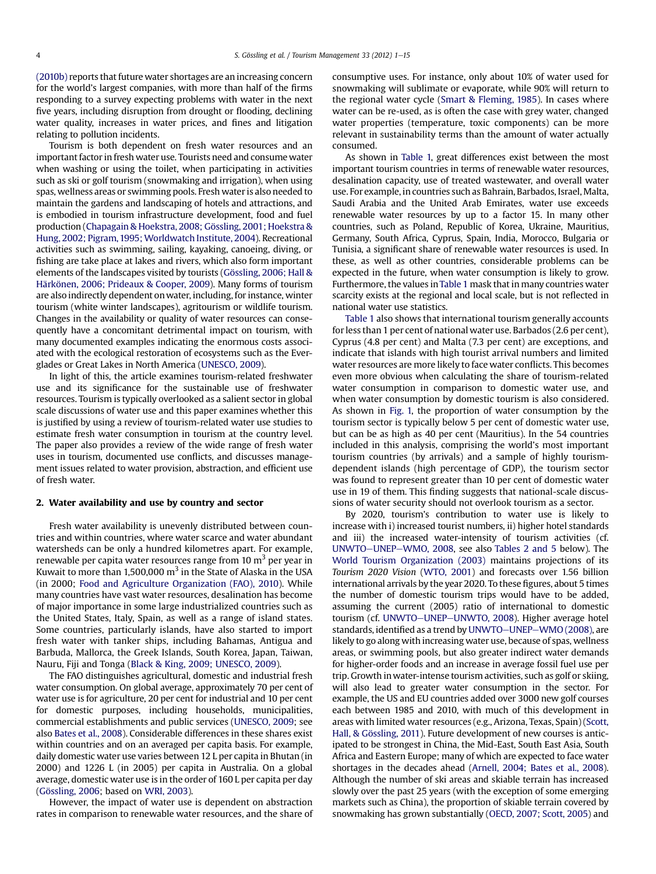[\(2010b\)](#page-13-0) reports that future water shortages are an increasing concern for the world's largest companies, with more than half of the firms responding to a survey expecting problems with water in the next five years, including disruption from drought or flooding, declining water quality, increases in water prices, and fines and litigation relating to pollution incidents.

Tourism is both dependent on fresh water resources and an important factor in fresh water use. Tourists need and consume water when washing or using the toilet, when participating in activities such as ski or golf tourism (snowmaking and irrigation), when using spas, wellness areas or swimming pools. Fresh water is also needed to maintain the gardens and landscaping of hotels and attractions, and is embodied in tourism infrastructure development, food and fuel production [\(Chapagain & Hoekstra, 2008; Gössling, 2001; Hoekstra &](#page-13-0) [Hung, 2002; Pigram,1995;Worldwatch Institute, 2004\)](#page-13-0). Recreational activities such as swimming, sailing, kayaking, canoeing, diving, or fishing are take place at lakes and rivers, which also form important elements of the landscapes visited by tourists [\(Gössling, 2006; Hall &](#page-13-0) [Härkönen, 2006; Prideaux & Cooper, 2009](#page-13-0)). Many forms of tourism are also indirectly dependent onwater, including, for instance, winter tourism (white winter landscapes), agritourism or wildlife tourism. Changes in the availability or quality of water resources can consequently have a concomitant detrimental impact on tourism, with many documented examples indicating the enormous costs associated with the ecological restoration of ecosystems such as the Everglades or Great Lakes in North America ([UNESCO, 2009\)](#page-14-0).

In light of this, the article examines tourism-related freshwater use and its significance for the sustainable use of freshwater resources. Tourism is typically overlooked as a salient sector in global scale discussions of water use and this paper examines whether this is justified by using a review of tourism-related water use studies to estimate fresh water consumption in tourism at the country level. The paper also provides a review of the wide range of fresh water uses in tourism, documented use conflicts, and discusses management issues related to water provision, abstraction, and efficient use of fresh water.

# 2. Water availability and use by country and sector

Fresh water availability is unevenly distributed between countries and within countries, where water scarce and water abundant watersheds can be only a hundred kilometres apart. For example, renewable per capita water resources range from 10 m<sup>3</sup> per year in Kuwait to more than  $1,500,000$  m<sup>3</sup> in the State of Alaska in the USA (in 2000; [Food and Agriculture Organization \(FAO\), 2010\)](#page-13-0). While many countries have vast water resources, desalination has become of major importance in some large industrialized countries such as the United States, Italy, Spain, as well as a range of island states. Some countries, particularly islands, have also started to import fresh water with tanker ships, including Bahamas, Antigua and Barbuda, Mallorca, the Greek Islands, South Korea, Japan, Taiwan, Nauru, Fiji and Tonga ([Black & King, 2009; UNESCO, 2009\)](#page-13-0).

The FAO distinguishes agricultural, domestic and industrial fresh water consumption. On global average, approximately 70 per cent of water use is for agriculture, 20 per cent for industrial and 10 per cent for domestic purposes, including households, municipalities, commercial establishments and public services ([UNESCO, 2009;](#page-14-0) see also [Bates et al., 2008](#page-13-0)). Considerable differences in these shares exist within countries and on an averaged per capita basis. For example, daily domestic water use varies between 12 L per capita in Bhutan (in 2000) and 1226 L (in 2005) per capita in Australia. On a global average, domestic water use is in the order of 160 L per capita per day ([Gössling, 2006](#page-13-0); based on [WRI, 2003\)](#page-14-0).

However, the impact of water use is dependent on abstraction rates in comparison to renewable water resources, and the share of consumptive uses. For instance, only about 10% of water used for snowmaking will sublimate or evaporate, while 90% will return to the regional water cycle [\(Smart & Fleming, 1985\)](#page-14-0). In cases where water can be re-used, as is often the case with grey water, changed water properties (temperature, toxic components) can be more relevant in sustainability terms than the amount of water actually consumed.

As shown in [Table 1,](#page-1-0) great differences exist between the most important tourism countries in terms of renewable water resources, desalination capacity, use of treated wastewater, and overall water use. For example, in countries such as Bahrain, Barbados, Israel, Malta, Saudi Arabia and the United Arab Emirates, water use exceeds renewable water resources by up to a factor 15. In many other countries, such as Poland, Republic of Korea, Ukraine, Mauritius, Germany, South Africa, Cyprus, Spain, India, Morocco, Bulgaria or Tunisia, a significant share of renewable water resources is used. In these, as well as other countries, considerable problems can be expected in the future, when water consumption is likely to grow. Furthermore, the values in[Table 1](#page-1-0) mask that in many countries water scarcity exists at the regional and local scale, but is not reflected in national water use statistics.

[Table 1](#page-1-0) also shows that international tourism generally accounts for less than 1 per cent of national water use. Barbados (2.6 per cent), Cyprus (4.8 per cent) and Malta (7.3 per cent) are exceptions, and indicate that islands with high tourist arrival numbers and limited water resources are more likely to face water conflicts. This becomes even more obvious when calculating the share of tourism-related water consumption in comparison to domestic water use, and when water consumption by domestic tourism is also considered. As shown in [Fig. 1,](#page-4-0) the proportion of water consumption by the tourism sector is typically below 5 per cent of domestic water use, but can be as high as 40 per cent (Mauritius). In the 54 countries included in this analysis, comprising the world's most important tourism countries (by arrivals) and a sample of highly tourismdependent islands (high percentage of GDP), the tourism sector was found to represent greater than 10 per cent of domestic water use in 19 of them. This finding suggests that national-scale discussions of water security should not overlook tourism as a sector.

By 2020, tourism's contribution to water use is likely to increase with i) increased tourist numbers, ii) higher hotel standards and iii) the increased water-intensity of tourism activities (cf. [UNWTO](#page-14-0)-[UNEP](#page-14-0)-[WMO, 2008,](#page-14-0) see also [Tables 2 and 5](#page-5-0) below). The [World Tourism Organization \(2003\)](#page-14-0) maintains projections of its Tourism 2020 Vision ([WTO, 2001](#page-14-0)) and forecasts over 1.56 billion international arrivals by the year 2020. To these figures, about 5 times the number of domestic tourism trips would have to be added, assuming the current (2005) ratio of international to domestic tourism (cf. [UNWTO](#page-14-0)-[UNEP](#page-14-0)-[UNWTO, 2008\)](#page-14-0). Higher average hotel standards, identified as a trend by [UNWTO](#page-14-0)-[UNEP](#page-14-0)-[WMO \(2008\),](#page-14-0) are likely to go along with increasing water use, because of spas, wellness areas, or swimming pools, but also greater indirect water demands for higher-order foods and an increase in average fossil fuel use per trip. Growth inwater-intense tourism activities, such as golf or skiing, will also lead to greater water consumption in the sector. For example, the US and EU countries added over 3000 new golf courses each between 1985 and 2010, with much of this development in areas with limited water resources (e.g., Arizona, Texas, Spain) ([Scott,](#page-14-0) [Hall, & Gössling, 2011](#page-14-0)). Future development of new courses is anticipated to be strongest in China, the Mid-East, South East Asia, South Africa and Eastern Europe; many of which are expected to face water shortages in the decades ahead ([Arnell, 2004; Bates et al., 2008](#page-13-0)). Although the number of ski areas and skiable terrain has increased slowly over the past 25 years (with the exception of some emerging markets such as China), the proportion of skiable terrain covered by snowmaking has grown substantially [\(OECD, 2007; Scott, 2005\)](#page-14-0) and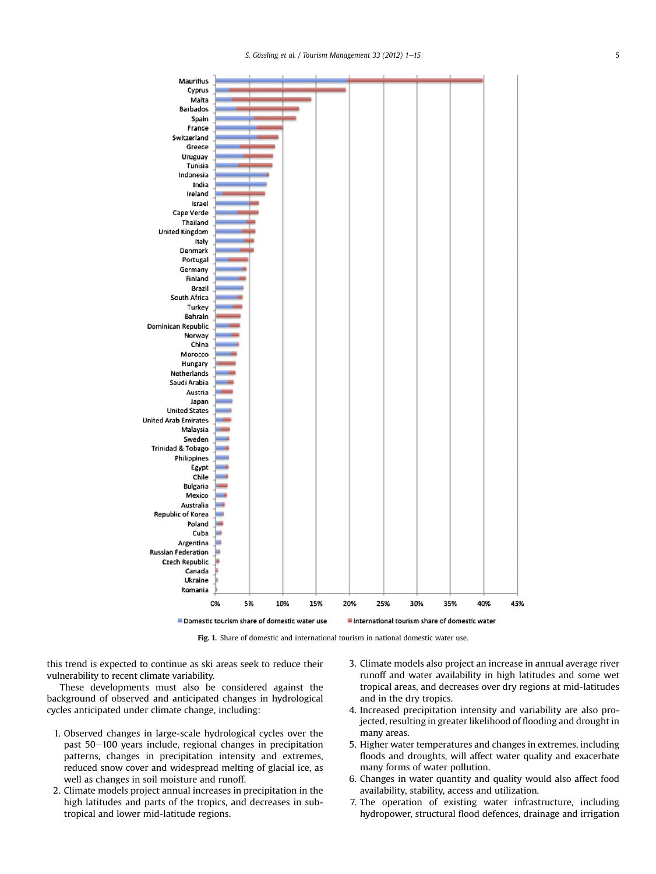<span id="page-4-0"></span>

Fig. 1. Share of domestic and international tourism in national domestic water use.

this trend is expected to continue as ski areas seek to reduce their vulnerability to recent climate variability.

These developments must also be considered against the background of observed and anticipated changes in hydrological cycles anticipated under climate change, including:

- 1. Observed changes in large-scale hydrological cycles over the past 50–100 years include, regional changes in precipitation patterns, changes in precipitation intensity and extremes, reduced snow cover and widespread melting of glacial ice, as well as changes in soil moisture and runoff.
- 2. Climate models project annual increases in precipitation in the high latitudes and parts of the tropics, and decreases in subtropical and lower mid-latitude regions.
- 3. Climate models also project an increase in annual average river runoff and water availability in high latitudes and some wet tropical areas, and decreases over dry regions at mid-latitudes and in the dry tropics.
- 4. Increased precipitation intensity and variability are also projected, resulting in greater likelihood of flooding and drought in many areas.
- 5. Higher water temperatures and changes in extremes, including floods and droughts, will affect water quality and exacerbate many forms of water pollution.
- 6. Changes in water quantity and quality would also affect food availability, stability, access and utilization.
- 7. The operation of existing water infrastructure, including hydropower, structural flood defences, drainage and irrigation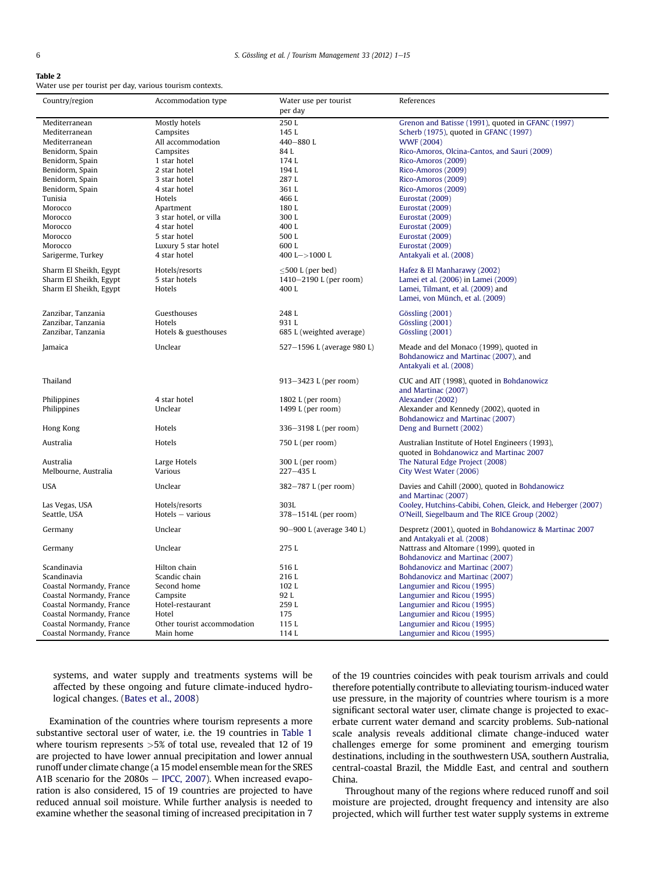<span id="page-5-0"></span>Table 2

Water use per tourist per day, various tourism contexts.

| Country/region           | Accommodation type          | Water use per tourist<br>per day | References                                                       |
|--------------------------|-----------------------------|----------------------------------|------------------------------------------------------------------|
| Mediterranean            | Mostly hotels               | 250L                             | Grenon and Batisse (1991), quoted in GFANC (1997)                |
| Mediterranean            | Campsites                   | 145 L                            | Scherb (1975), quoted in GFANC (1997)                            |
| Mediterranean            | All accommodation           | 440-880L                         | <b>WWF (2004)</b>                                                |
| Benidorm, Spain          | Campsites                   | 84L                              | Rico-Amoros, Olcina-Cantos, and Sauri (2009)                     |
| Benidorm, Spain          | 1 star hotel                | 174L                             | Rico-Amoros (2009)                                               |
| Benidorm, Spain          | 2 star hotel                | 194L                             | Rico-Amoros (2009)                                               |
| Benidorm, Spain          | 3 star hotel                | 287L                             | Rico-Amoros (2009)                                               |
| Benidorm, Spain          | 4 star hotel                | 361L                             | Rico-Amoros (2009)                                               |
| Tunisia                  | Hotels                      | 466 L                            | Eurostat (2009)                                                  |
| Morocco                  | Apartment                   | 180L                             | Eurostat (2009)                                                  |
| Morocco                  | 3 star hotel, or villa      | 300L                             | Eurostat (2009)                                                  |
| Morocco                  | 4 star hotel                | 400L                             | Eurostat (2009)                                                  |
| Morocco                  | 5 star hotel                | 500L                             | Eurostat (2009)                                                  |
| Morocco                  | Luxury 5 star hotel         | 600L                             | Eurostat (2009)                                                  |
| Sarigerme, Turkey        | 4 star hotel                | 400 L->1000 L                    | Antakyali et al. (2008)                                          |
| Sharm El Sheikh, Egypt   | Hotels/resorts              | $\leq$ 500 L (per bed)           | Hafez & El Manharawy (2002)                                      |
| Sharm El Sheikh, Egypt   | 5 star hotels               | 1410-2190 L (per room)           | Lamei et al. (2006) in Lamei (2009)                              |
| Sharm El Sheikh, Egypt   | Hotels                      | 400L                             | Lamei, Tilmant, et al. (2009) and                                |
|                          |                             |                                  | Lamei, von Münch, et al. (2009)                                  |
| Zanzibar, Tanzania       | Guesthouses                 | 248 L                            | Gössling (2001)                                                  |
| Zanzibar, Tanzania       | Hotels                      | 931 L                            | Gössling (2001)                                                  |
| Zanzibar, Tanzania       | Hotels & guesthouses        | 685 L (weighted average)         | Gössling (2001)                                                  |
|                          |                             |                                  |                                                                  |
| Jamaica                  | Unclear                     | 527-1596 L (average 980 L)       | Meade and del Monaco (1999), quoted in                           |
|                          |                             |                                  | Bohdanowicz and Martinac (2007), and                             |
|                          |                             |                                  | Antakyali et al. (2008)                                          |
| Thailand                 |                             | 913-3423 L (per room)            | CUC and AIT (1998), quoted in Bohdanowicz<br>and Martinac (2007) |
| Philippines              | 4 star hotel                | 1802 L (per room)                | Alexander (2002)                                                 |
| Philippines              | Unclear                     | 1499 L (per room)                | Alexander and Kennedy (2002), quoted in                          |
|                          |                             |                                  | Bohdanowicz and Martinac (2007)                                  |
| Hong Kong                | Hotels                      | 336-3198 L (per room)            | Deng and Burnett (2002)                                          |
| Australia                | Hotels                      | 750 L (per room)                 | Australian Institute of Hotel Engineers (1993),                  |
|                          |                             |                                  | quoted in Bohdanowicz and Martinac 2007                          |
| Australia                | Large Hotels                | 300 L (per room)                 | The Natural Edge Project (2008)                                  |
| Melbourne, Australia     | Various                     | 227-435L                         | City West Water (2006)                                           |
|                          |                             |                                  |                                                                  |
| <b>USA</b>               | Unclear                     | 382-787 L (per room)             | Davies and Cahill (2000), quoted in Bohdanowicz                  |
|                          |                             |                                  | and Martinac (2007)                                              |
| Las Vegas, USA           | Hotels/resorts              | 303L                             | Cooley, Hutchins-Cabibi, Cohen, Gleick, and Heberger (2007)      |
| Seattle, USA             | $Hotels - various$          | 378-1514L (per room)             | O'Neill, Siegelbaum and The RICE Group (2002)                    |
| Germany                  | Unclear                     | 90-900 L (average 340 L)         | Despretz (2001), quoted in Bohdanowicz & Martinac 2007           |
|                          |                             |                                  | and Antakyali et al. (2008)                                      |
| Germany                  | Unclear                     | 275L                             | Nattrass and Altomare (1999), quoted in                          |
|                          |                             |                                  | Bohdanovicz and Martinac (2007)                                  |
| Scandinavia              | Hilton chain                | 516L                             | Bohdanovicz and Martinac (2007)                                  |
| Scandinavia              | Scandic chain               | 216L                             | Bohdanovicz and Martinac (2007)                                  |
| Coastal Normandy, France | Second home                 | 102L                             | Langumier and Ricou (1995)                                       |
| Coastal Normandy, France | Campsite                    | 92 L                             | Langumier and Ricou (1995)                                       |
| Coastal Normandy, France | Hotel-restaurant            | 259 L                            | Langumier and Ricou (1995)                                       |
| Coastal Normandy, France | Hotel                       | 175                              | Langumier and Ricou (1995)                                       |
| Coastal Normandy, France | Other tourist accommodation | 115L                             | Langumier and Ricou (1995)                                       |
| Coastal Normandy, France | Main home                   | 114L                             | Langumier and Ricou (1995)                                       |

systems, and water supply and treatments systems will be affected by these ongoing and future climate-induced hydrological changes. [\(Bates et al., 2008\)](#page-13-0)

Examination of the countries where tourism represents a more substantive sectoral user of water, i.e. the 19 countries in [Table 1](#page-1-0) where tourism represents >5% of total use, revealed that 12 of 19 are projected to have lower annual precipitation and lower annual runoff under climate change (a 15 model ensemble mean for the SRES A1B scenario for the  $2080s - \text{IPCC}, 2007$ ). When increased evaporation is also considered, 15 of 19 countries are projected to have reduced annual soil moisture. While further analysis is needed to examine whether the seasonal timing of increased precipitation in 7

of the 19 countries coincides with peak tourism arrivals and could therefore potentially contribute to alleviating tourism-induced water use pressure, in the majority of countries where tourism is a more significant sectoral water user, climate change is projected to exacerbate current water demand and scarcity problems. Sub-national scale analysis reveals additional climate change-induced water challenges emerge for some prominent and emerging tourism destinations, including in the southwestern USA, southern Australia, central-coastal Brazil, the Middle East, and central and southern China.

Throughout many of the regions where reduced runoff and soil moisture are projected, drought frequency and intensity are also projected, which will further test water supply systems in extreme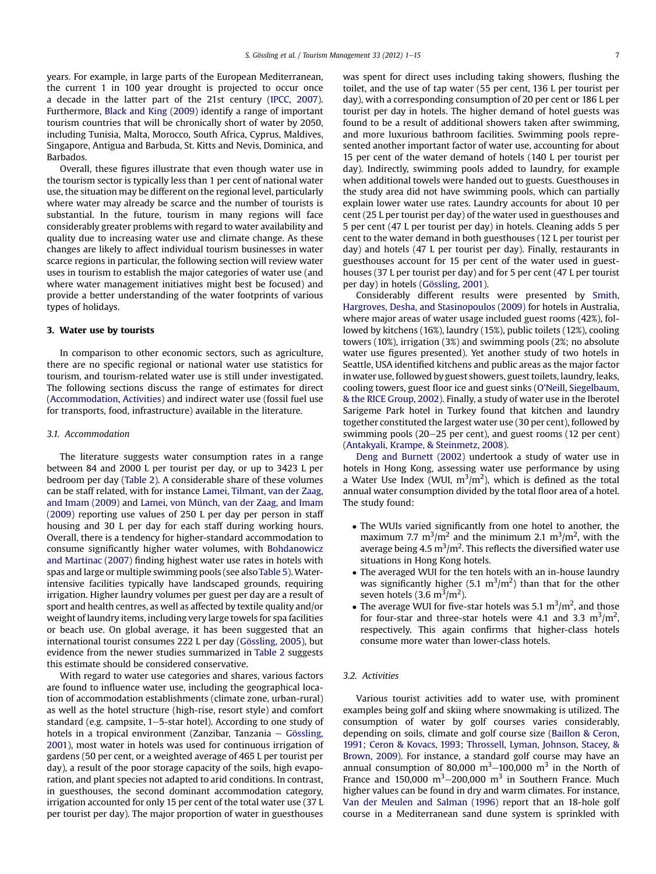years. For example, in large parts of the European Mediterranean, the current 1 in 100 year drought is projected to occur once a decade in the latter part of the 21st century ([IPCC, 2007\)](#page-13-0). Furthermore, [Black and King \(2009\)](#page-13-0) identify a range of important tourism countries that will be chronically short of water by 2050, including Tunisia, Malta, Morocco, South Africa, Cyprus, Maldives, Singapore, Antigua and Barbuda, St. Kitts and Nevis, Dominica, and Barbados.

Overall, these figures illustrate that even though water use in the tourism sector is typically less than 1 per cent of national water use, the situation may be different on the regional level, particularly where water may already be scarce and the number of tourists is substantial. In the future, tourism in many regions will face considerably greater problems with regard to water availability and quality due to increasing water use and climate change. As these changes are likely to affect individual tourism businesses in water scarce regions in particular, the following section will review water uses in tourism to establish the major categories of water use (and where water management initiatives might best be focused) and provide a better understanding of the water footprints of various types of holidays.

# 3. Water use by tourists

In comparison to other economic sectors, such as agriculture, there are no specific regional or national water use statistics for tourism, and tourism-related water use is still under investigated. The following sections discuss the range of estimates for direct (Accommodation, Activities) and indirect water use (fossil fuel use for transports, food, infrastructure) available in the literature.

# 3.1. Accommodation

The literature suggests water consumption rates in a range between 84 and 2000 L per tourist per day, or up to 3423 L per bedroom per day [\(Table 2](#page-5-0)). A considerable share of these volumes can be staff related, with for instance [Lamei, Tilmant, van der Zaag,](#page-13-0) [and Imam \(2009\)](#page-13-0) and [Lamei, von Münch, van der Zaag, and Imam](#page-14-0) [\(2009\)](#page-14-0) reporting use values of 250 L per day per person in staff housing and 30 L per day for each staff during working hours. Overall, there is a tendency for higher-standard accommodation to consume significantly higher water volumes, with [Bohdanowicz](#page-13-0) [and Martinac \(2007\)](#page-13-0) finding highest water use rates in hotels with spas and large or multiple swimming pools (see also[Table 5](#page-11-0)).Waterintensive facilities typically have landscaped grounds, requiring irrigation. Higher laundry volumes per guest per day are a result of sport and health centres, as well as affected by textile quality and/or weight of laundry items, including very large towels for spa facilities or beach use. On global average, it has been suggested that an international tourist consumes 222 L per day [\(Gössling, 2005\)](#page-13-0), but evidence from the newer studies summarized in [Table 2](#page-5-0) suggests this estimate should be considered conservative.

With regard to water use categories and shares, various factors are found to influence water use, including the geographical location of accommodation establishments (climate zone, urban-rural) as well as the hotel structure (high-rise, resort style) and comfort standard (e.g. campsite,  $1-5$ -star hotel). According to one study of hotels in a tropical environment (Zanzibar, Tanzania  $-$  [Gössling,](#page-13-0) [2001\)](#page-13-0), most water in hotels was used for continuous irrigation of gardens (50 per cent, or a weighted average of 465 L per tourist per day), a result of the poor storage capacity of the soils, high evaporation, and plant species not adapted to arid conditions. In contrast, in guesthouses, the second dominant accommodation category, irrigation accounted for only 15 per cent of the total water use (37 L per tourist per day). The major proportion of water in guesthouses was spent for direct uses including taking showers, flushing the toilet, and the use of tap water (55 per cent, 136 L per tourist per day), with a corresponding consumption of 20 per cent or 186 L per tourist per day in hotels. The higher demand of hotel guests was found to be a result of additional showers taken after swimming, and more luxurious bathroom facilities. Swimming pools represented another important factor of water use, accounting for about 15 per cent of the water demand of hotels (140 L per tourist per day). Indirectly, swimming pools added to laundry, for example when additional towels were handed out to guests. Guesthouses in the study area did not have swimming pools, which can partially explain lower water use rates. Laundry accounts for about 10 per cent (25 L per tourist per day) of the water used in guesthouses and 5 per cent (47 L per tourist per day) in hotels. Cleaning adds 5 per cent to the water demand in both guesthouses (12 L per tourist per day) and hotels (47 L per tourist per day). Finally, restaurants in guesthouses account for 15 per cent of the water used in guesthouses (37 L per tourist per day) and for 5 per cent (47 L per tourist per day) in hotels ([Gössling, 2001](#page-13-0)).

Considerably different results were presented by [Smith,](#page-14-0) [Hargroves, Desha, and Stasinopoulos \(2009\)](#page-14-0) for hotels in Australia, where major areas of water usage included guest rooms (42%), followed by kitchens (16%), laundry (15%), public toilets (12%), cooling towers (10%), irrigation (3%) and swimming pools (2%; no absolute water use figures presented). Yet another study of two hotels in Seattle, USA identified kitchens and public areas as the major factor inwater use, followed by guest showers, guest toilets, laundry, leaks, cooling towers, guest floor ice and guest sinks (O'[Neill, Siegelbaum,](#page-14-0) [& the RICE Group, 2002\)](#page-14-0). Finally, a study of water use in the Iberotel Sarigeme Park hotel in Turkey found that kitchen and laundry together constituted the largest water use (30 per cent), followed by swimming pools  $(20-25$  per cent), and guest rooms  $(12$  per cent) ([Antakyali, Krampe, & Steinmetz, 2008](#page-13-0)).

[Deng and Burnett \(2002\)](#page-13-0) undertook a study of water use in hotels in Hong Kong, assessing water use performance by using a Water Use Index (WUI,  $m^3/m^2$ ), which is defined as the total annual water consumption divided by the total floor area of a hotel. The study found:

- The WUIs varied significantly from one hotel to another, the maximum 7.7 m<sup>3</sup>/m<sup>2</sup> and the minimum 2.1 m<sup>3</sup>/m<sup>2</sup>, with the average being 4.5  $m^3/m^2$ . This reflects the diversified water use situations in Hong Kong hotels.
- The averaged WUI for the ten hotels with an in-house laundry was significantly higher (5.1  $\text{m}^3/\text{m}^2$ ) than that for the other seven hotels  $(3.6 \text{ m}^3/\text{m}^2)$ .
- The average WUI for five-star hotels was 5.1  $\text{m}^3/\text{m}^2$ , and those for four-star and three-star hotels were 4.1 and 3.3  $\mathrm{m}^3/\mathrm{m}^2$ , respectively. This again confirms that higher-class hotels consume more water than lower-class hotels.

# 3.2. Activities

Various tourist activities add to water use, with prominent examples being golf and skiing where snowmaking is utilized. The consumption of water by golf courses varies considerably, depending on soils, climate and golf course size [\(Baillon & Ceron,](#page-13-0) [1991; Ceron & Kovacs, 1993; Throssell, Lyman, Johnson, Stacey, &](#page-13-0) [Brown, 2009\)](#page-13-0). For instance, a standard golf course may have an annual consumption of 80,000  $m^3$ –100,000  $m^3$  in the North of France and 150,000  $m^3-$ 200,000  $m^3$  in Southern France. Much higher values can be found in dry and warm climates. For instance, [Van der Meulen and Salman \(1996\)](#page-14-0) report that an 18-hole golf course in a Mediterranean sand dune system is sprinkled with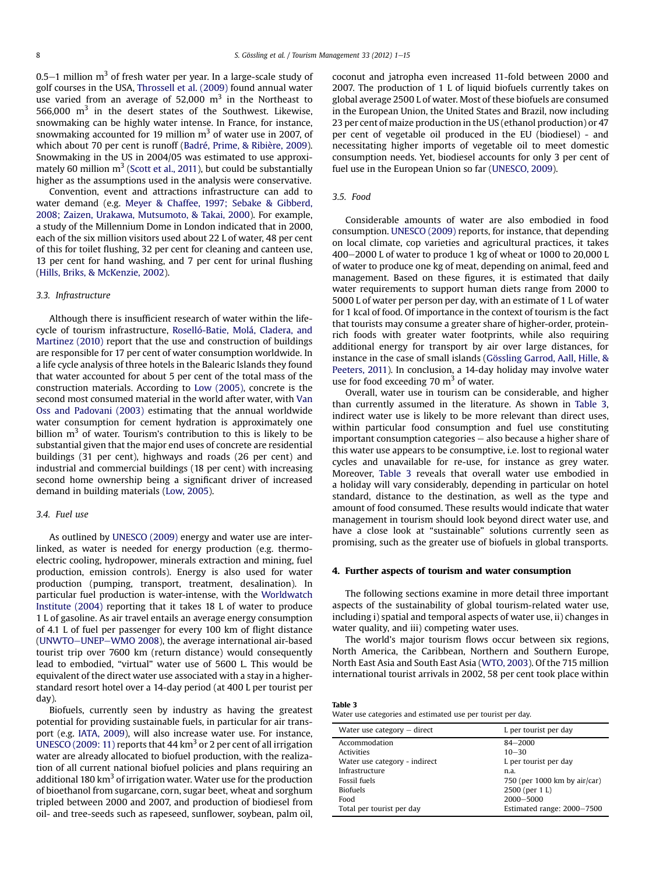0.5 $-1$  million m<sup>3</sup> of fresh water per year. In a large-scale study of golf courses in the USA, [Throssell et al. \(2009\)](#page-14-0) found annual water use varied from an average of 52,000  $m<sup>3</sup>$  in the Northeast to 566,000  $m<sup>3</sup>$  in the desert states of the Southwest. Likewise, snowmaking can be highly water intense. In France, for instance, snowmaking accounted for 19 million  $m<sup>3</sup>$  of water use in 2007, of which about 70 per cent is runoff ([Badré, Prime, & Ribière, 2009\)](#page-13-0). Snowmaking in the US in 2004/05 was estimated to use approximately 60 million  $m<sup>3</sup>$  [\(Scott et al., 2011](#page-14-0)), but could be substantially higher as the assumptions used in the analysis were conservative.

Convention, event and attractions infrastructure can add to water demand (e.g. [Meyer & Chaffee, 1997; Sebake & Gibberd,](#page-14-0) [2008; Zaizen, Urakawa, Mutsumoto, & Takai, 2000\)](#page-14-0). For example, a study of the Millennium Dome in London indicated that in 2000, each of the six million visitors used about 22 L of water, 48 per cent of this for toilet flushing, 32 per cent for cleaning and canteen use, 13 per cent for hand washing, and 7 per cent for urinal flushing ([Hills, Briks, & McKenzie, 2002](#page-13-0)).

# 3.3. Infrastructure

Although there is insufficient research of water within the lifecycle of tourism infrastructure, [Roselló-Batie, Molá, Cladera, and](#page-14-0) [Martinez \(2010\)](#page-14-0) report that the use and construction of buildings are responsible for 17 per cent of water consumption worldwide. In a life cycle analysis of three hotels in the Balearic Islands they found that water accounted for about 5 per cent of the total mass of the construction materials. According to [Low \(2005\),](#page-14-0) concrete is the second most consumed material in the world after water, with [Van](#page-14-0) [Oss and Padovani \(2003\)](#page-14-0) estimating that the annual worldwide water consumption for cement hydration is approximately one billion  $m<sup>3</sup>$  of water. Tourism's contribution to this is likely to be substantial given that the major end uses of concrete are residential buildings (31 per cent), highways and roads (26 per cent) and industrial and commercial buildings (18 per cent) with increasing second home ownership being a significant driver of increased demand in building materials ([Low, 2005\)](#page-14-0).

# 3.4. Fuel use

As outlined by [UNESCO \(2009\)](#page-14-0) energy and water use are interlinked, as water is needed for energy production (e.g. thermoelectric cooling, hydropower, minerals extraction and mining, fuel production, emission controls). Energy is also used for water production (pumping, transport, treatment, desalination). In particular fuel production is water-intense, with the [Worldwatch](#page-14-0) [Institute \(2004\)](#page-14-0) reporting that it takes 18 L of water to produce 1 L of gasoline. As air travel entails an average energy consumption of 4.1 L of fuel per passenger for every 100 km of flight distance ([UNWTO](#page-14-0)-[UNEP](#page-14-0)-[WMO 2008\)](#page-14-0), the average international air-based tourist trip over 7600 km (return distance) would consequently lead to embodied, "virtual" water use of 5600 L. This would be equivalent of the direct water use associated with a stay in a higherstandard resort hotel over a 14-day period (at 400 L per tourist per day).

Biofuels, currently seen by industry as having the greatest potential for providing sustainable fuels, in particular for air transport (e.g. [IATA, 2009](#page-13-0)), will also increase water use. For instance, [UNESCO \(2009: 11\)](#page-14-0) reports that 44  $km<sup>3</sup>$  or 2 per cent of all irrigation water are already allocated to biofuel production, with the realization of all current national biofuel policies and plans requiring an additional 180  $km^3$  of irrigation water. Water use for the production of bioethanol from sugarcane, corn, sugar beet, wheat and sorghum tripled between 2000 and 2007, and production of biodiesel from oil- and tree-seeds such as rapeseed, sunflower, soybean, palm oil, coconut and jatropha even increased 11-fold between 2000 and 2007. The production of 1 L of liquid biofuels currently takes on global average 2500 L of water. Most of these biofuels are consumed in the European Union, the United States and Brazil, now including 23 per cent of maize production in the US (ethanol production) or 47 per cent of vegetable oil produced in the EU (biodiesel) - and necessitating higher imports of vegetable oil to meet domestic consumption needs. Yet, biodiesel accounts for only 3 per cent of fuel use in the European Union so far ([UNESCO, 2009\)](#page-14-0).

#### 3.5. Food

Considerable amounts of water are also embodied in food consumption. [UNESCO \(2009\)](#page-14-0) reports, for instance, that depending on local climate, cop varieties and agricultural practices, it takes 400-2000 L of water to produce 1 kg of wheat or 1000 to 20,000 L of water to produce one kg of meat, depending on animal, feed and management. Based on these figures, it is estimated that daily water requirements to support human diets range from 2000 to 5000 L of water per person per day, with an estimate of 1 L of water for 1 kcal of food. Of importance in the context of tourism is the fact that tourists may consume a greater share of higher-order, proteinrich foods with greater water footprints, while also requiring additional energy for transport by air over large distances, for instance in the case of small islands ([Gössling Garrod, Aall, Hille, &](#page-13-0) [Peeters, 2011\)](#page-13-0). In conclusion, a 14-day holiday may involve water use for food exceeding 70  $\mathrm{m}^3$  of water.

Overall, water use in tourism can be considerable, and higher than currently assumed in the literature. As shown in Table 3, indirect water use is likely to be more relevant than direct uses, within particular food consumption and fuel use constituting  $im$  important consumption categories  $-$  also because a higher share of this water use appears to be consumptive, i.e. lost to regional water cycles and unavailable for re-use, for instance as grey water. Moreover, Table 3 reveals that overall water use embodied in a holiday will vary considerably, depending in particular on hotel standard, distance to the destination, as well as the type and amount of food consumed. These results would indicate that water management in tourism should look beyond direct water use, and have a close look at "sustainable" solutions currently seen as promising, such as the greater use of biofuels in global transports.

# 4. Further aspects of tourism and water consumption

The following sections examine in more detail three important aspects of the sustainability of global tourism-related water use, including i) spatial and temporal aspects of water use, ii) changes in water quality, and iii) competing water uses.

The world's major tourism flows occur between six regions, North America, the Caribbean, Northern and Southern Europe, North East Asia and South East Asia [\(WTO, 2003\)](#page-14-0). Of the 715 million international tourist arrivals in 2002, 58 per cent took place within

| Table 3                                                     |  |
|-------------------------------------------------------------|--|
| Water use categories and estimated use per tourist per day. |  |

| Water use category $-$ direct | L per tourist per day        |
|-------------------------------|------------------------------|
| Accommodation                 | $84 - 2000$                  |
| Activities                    | $10 - 30$                    |
| Water use category - indirect | L per tourist per day        |
| Infrastructure                | n.a.                         |
| <b>Fossil</b> fuels           | 750 (per 1000 km by air/car) |
| <b>Biofuels</b>               | $2500$ (per 1 L)             |
| Food                          | 2000-5000                    |
| Total per tourist per day     | Estimated range: 2000-7500   |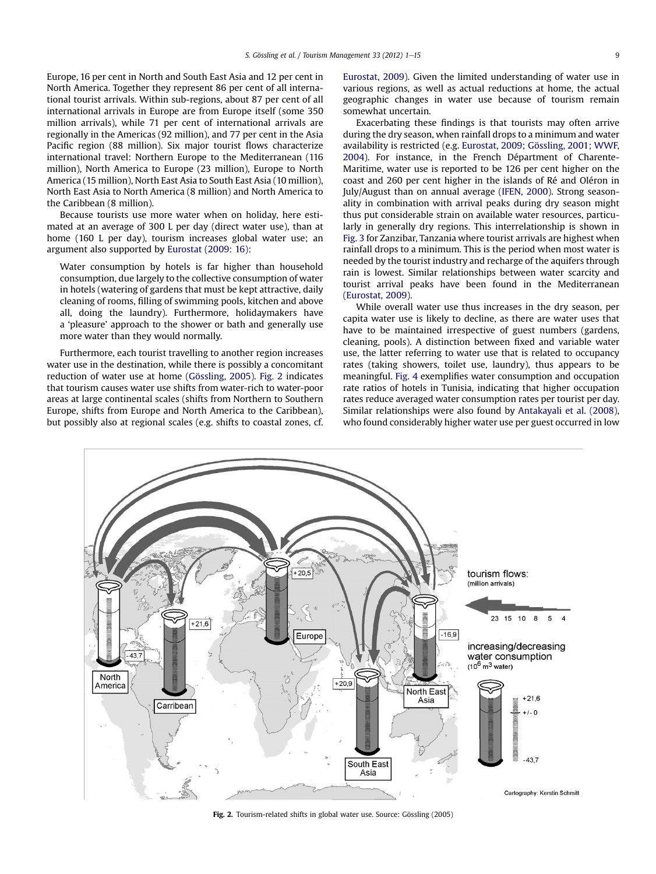Europe, 16 per cent in North and South East Asia and 12 per cent in North America. Together they represent 86 per cent of all international tourist arrivals. Within sub-regions, about 87 per cent of all international arrivals in Europe are from Europe itself (some 350 million arrivals), while 71 per cent of international arrivals are regionally in the Americas (92 million), and 77 per cent in the Asia Pacific region (88 million). Six major tourist flows characterize international travel: Northern Europe to the Mediterranean (116 million), North America to Europe (23 million), Europe to North America (15 million), North East Asia to South East Asia (10 million), North East Asia to North America (8 million) and North America to the Caribbean (8 million).

Because tourists use more water when on holiday, here estimated at an average of 300 L per day (direct water use), than at home (160 L per day), tourism increases global water use; an argument also supported by [Eurostat \(2009: 16\)](#page-13-0):

Water consumption by hotels is far higher than household consumption, due largely to the collective consumption of water in hotels (watering of gardens that must be kept attractive, daily cleaning of rooms, filling of swimming pools, kitchen and above all, doing the laundry). Furthermore, holidaymakers have a 'pleasure' approach to the shower or bath and generally use more water than they would normally.

Furthermore, each tourist travelling to another region increases water use in the destination, while there is possibly a concomitant reduction of water use at home ([Gössling, 2005\)](#page-13-0). Fig. 2 indicates that tourism causes water use shifts from water-rich to water-poor areas at large continental scales (shifts from Northern to Southern Europe, shifts from Europe and North America to the Caribbean), but possibly also at regional scales (e.g. shifts to coastal zones, cf. [Eurostat, 2009](#page-13-0)). Given the limited understanding of water use in various regions, as well as actual reductions at home, the actual geographic changes in water use because of tourism remain somewhat uncertain.

Exacerbating these findings is that tourists may often arrive during the dry season, when rainfall drops to a minimum and water availability is restricted (e.g. [Eurostat, 2009; Gössling, 2001; WWF,](#page-13-0) [2004\)](#page-13-0). For instance, in the French Départment of Charente-Maritime, water use is reported to be 126 per cent higher on the coast and 260 per cent higher in the islands of Ré and Oléron in July/August than on annual average ([IFEN, 2000\)](#page-13-0). Strong seasonality in combination with arrival peaks during dry season might thus put considerable strain on available water resources, particularly in generally dry regions. This interrelationship is shown in [Fig. 3](#page-9-0) for Zanzibar, Tanzania where tourist arrivals are highest when rainfall drops to a minimum. This is the period when most water is needed by the tourist industry and recharge of the aquifers through rain is lowest. Similar relationships between water scarcity and tourist arrival peaks have been found in the Mediterranean ([Eurostat, 2009\)](#page-13-0).

While overall water use thus increases in the dry season, per capita water use is likely to decline, as there are water uses that have to be maintained irrespective of guest numbers (gardens, cleaning, pools). A distinction between fixed and variable water use, the latter referring to water use that is related to occupancy rates (taking showers, toilet use, laundry), thus appears to be meaningful. [Fig. 4](#page-9-0) exemplifies water consumption and occupation rate ratios of hotels in Tunisia, indicating that higher occupation rates reduce averaged water consumption rates per tourist per day. Similar relationships were also found by [Antakayali et al. \(2008\),](#page-13-0) who found considerably higher water use per guest occurred in low



Fig. 2. Tourism-related shifts in global water use. Source: Gössling (2005)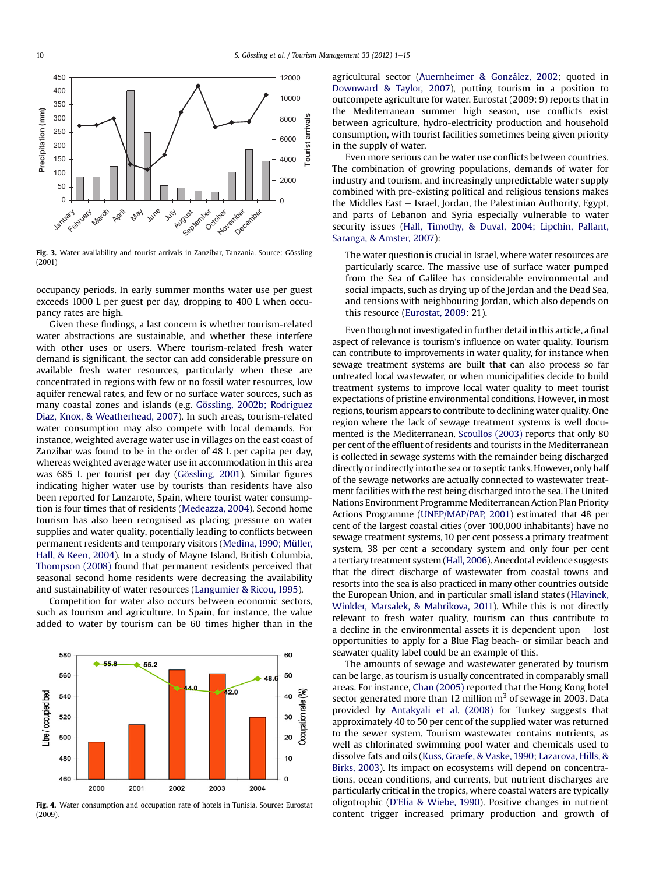<span id="page-9-0"></span>

Fig. 3. Water availability and tourist arrivals in Zanzibar, Tanzania. Source: Gössling (2001)

occupancy periods. In early summer months water use per guest exceeds 1000 L per guest per day, dropping to 400 L when occupancy rates are high.

Given these findings, a last concern is whether tourism-related water abstractions are sustainable, and whether these interfere with other uses or users. Where tourism-related fresh water demand is significant, the sector can add considerable pressure on available fresh water resources, particularly when these are concentrated in regions with few or no fossil water resources, low aquifer renewal rates, and few or no surface water sources, such as many coastal zones and islands (e.g. [Gössling, 2002b; Rodriguez](#page-13-0) [Diaz, Knox, & Weatherhead, 2007\)](#page-13-0). In such areas, tourism-related water consumption may also compete with local demands. For instance, weighted average water use in villages on the east coast of Zanzibar was found to be in the order of 48 L per capita per day, whereas weighted average water use in accommodation in this area was 685 L per tourist per day [\(Gössling, 2001](#page-13-0)). Similar figures indicating higher water use by tourists than residents have also been reported for Lanzarote, Spain, where tourist water consumption is four times that of residents [\(Medeazza, 2004](#page-14-0)). Second home tourism has also been recognised as placing pressure on water supplies and water quality, potentially leading to conflicts between permanent residents and temporary visitors ([Medina, 1990; Müller,](#page-14-0) [Hall, & Keen, 2004\)](#page-14-0). In a study of Mayne Island, British Columbia, [Thompson \(2008\)](#page-14-0) found that permanent residents perceived that seasonal second home residents were decreasing the availability and sustainability of water resources ([Langumier & Ricou, 1995\)](#page-14-0).

Competition for water also occurs between economic sectors, such as tourism and agriculture. In Spain, for instance, the value added to water by tourism can be 60 times higher than in the



Fig. 4. Water consumption and occupation rate of hotels in Tunisia. Source: Eurostat (2009).

agricultural sector ([Auernheimer & González, 2002;](#page-13-0) quoted in [Downward & Taylor, 2007\)](#page-13-0), putting tourism in a position to outcompete agriculture for water. Eurostat (2009: 9) reports that in the Mediterranean summer high season, use conflicts exist between agriculture, hydro-electricity production and household consumption, with tourist facilities sometimes being given priority in the supply of water.

Even more serious can be water use conflicts between countries. The combination of growing populations, demands of water for industry and tourism, and increasingly unpredictable water supply combined with pre-existing political and religious tensions makes the Middles East  $-$  Israel, Jordan, the Palestinian Authority, Egypt, and parts of Lebanon and Syria especially vulnerable to water security issues ([Hall, Timothy, & Duval, 2004; Lipchin, Pallant,](#page-13-0) [Saranga, & Amster, 2007](#page-13-0)):

The water question is crucial in Israel, where water resources are particularly scarce. The massive use of surface water pumped from the Sea of Galilee has considerable environmental and social impacts, such as drying up of the Jordan and the Dead Sea, and tensions with neighbouring Jordan, which also depends on this resource [\(Eurostat, 2009](#page-13-0): 21).

Even though not investigated in further detail in this article, a final aspect of relevance is tourism's influence on water quality. Tourism can contribute to improvements in water quality, for instance when sewage treatment systems are built that can also process so far untreated local wastewater, or when municipalities decide to build treatment systems to improve local water quality to meet tourist expectations of pristine environmental conditions. However, in most regions, tourism appears to contribute to declining water quality. One region where the lack of sewage treatment systems is well documented is the Mediterranean. [Scoullos \(2003\)](#page-14-0) reports that only 80 per cent of the effluent of residents and tourists in the Mediterranean is collected in sewage systems with the remainder being discharged directly or indirectly into the sea or to septic tanks. However, only half of the sewage networks are actually connected to wastewater treatment facilities with the rest being discharged into the sea. The United Nations Environment Programme Mediterranean Action Plan Priority Actions Programme [\(UNEP/MAP/PAP, 2001](#page-14-0)) estimated that 48 per cent of the largest coastal cities (over 100,000 inhabitants) have no sewage treatment systems, 10 per cent possess a primary treatment system, 38 per cent a secondary system and only four per cent a tertiary treatment system [\(Hall, 2006](#page-13-0)). Anecdotal evidence suggests that the direct discharge of wastewater from coastal towns and resorts into the sea is also practiced in many other countries outside the European Union, and in particular small island states [\(Hlavinek,](#page-13-0) [Winkler, Marsalek, & Mahrikova, 2011\)](#page-13-0). While this is not directly relevant to fresh water quality, tourism can thus contribute to a decline in the environmental assets it is dependent upon  $-$  lost opportunities to apply for a Blue Flag beach- or similar beach and seawater quality label could be an example of this.

The amounts of sewage and wastewater generated by tourism can be large, as tourism is usually concentrated in comparably small areas. For instance, [Chan \(2005\)](#page-13-0) reported that the Hong Kong hotel sector generated more than 12 million  $m<sup>3</sup>$  of sewage in 2003. Data provided by [Antakyali et al. \(2008\)](#page-13-0) for Turkey suggests that approximately 40 to 50 per cent of the supplied water was returned to the sewer system. Tourism wastewater contains nutrients, as well as chlorinated swimming pool water and chemicals used to dissolve fats and oils ([Kuss, Graefe, & Vaske, 1990;](#page-13-0) [Lazarova, Hills, &](#page-14-0) [Birks, 2003\)](#page-14-0). Its impact on ecosystems will depend on concentrations, ocean conditions, and currents, but nutrient discharges are particularly critical in the tropics, where coastal waters are typically oligotrophic (D'[Elia & Wiebe, 1990\)](#page-13-0). Positive changes in nutrient content trigger increased primary production and growth of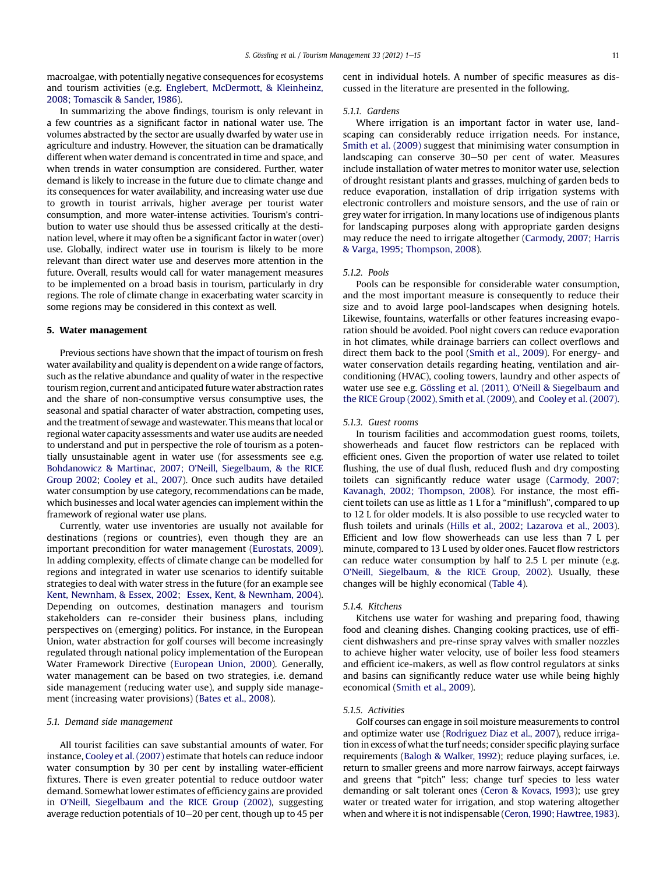macroalgae, with potentially negative consequences for ecosystems and tourism activities (e.g. [Englebert, McDermott, & Kleinheinz,](#page-13-0) [2008; Tomascik & Sander, 1986\)](#page-13-0).

In summarizing the above findings, tourism is only relevant in a few countries as a significant factor in national water use. The volumes abstracted by the sector are usually dwarfed by water use in agriculture and industry. However, the situation can be dramatically different when water demand is concentrated in time and space, and when trends in water consumption are considered. Further, water demand is likely to increase in the future due to climate change and its consequences for water availability, and increasing water use due to growth in tourist arrivals, higher average per tourist water consumption, and more water-intense activities. Tourism's contribution to water use should thus be assessed critically at the destination level, where it may often be a significant factor in water (over) use. Globally, indirect water use in tourism is likely to be more relevant than direct water use and deserves more attention in the future. Overall, results would call for water management measures to be implemented on a broad basis in tourism, particularly in dry regions. The role of climate change in exacerbating water scarcity in some regions may be considered in this context as well.

#### 5. Water management

Previous sections have shown that the impact of tourism on fresh water availability and quality is dependent on a wide range of factors, such as the relative abundance and quality of water in the respective tourism region, current and anticipated future water abstraction rates and the share of non-consumptive versus consumptive uses, the seasonal and spatial character of water abstraction, competing uses, and the treatment of sewage and wastewater. This means that local or regional water capacity assessments and water use audits are needed to understand and put in perspective the role of tourism as a potentially unsustainable agent in water use (for assessments see e.g. [Bohdanowicz & Martinac, 2007; O](#page-13-0)'Neill, Siegelbaum, & the RICE [Group 2002](#page-13-0); [Cooley et al., 2007\)](#page-13-0). Once such audits have detailed water consumption by use category, recommendations can be made, which businesses and local water agencies can implement within the framework of regional water use plans.

Currently, water use inventories are usually not available for destinations (regions or countries), even though they are an important precondition for water management [\(Eurostats, 2009\)](#page-13-0). In adding complexity, effects of climate change can be modelled for regions and integrated in water use scenarios to identify suitable strategies to deal with water stress in the future (for an example see [Kent, Newnham, & Essex, 2002](#page-13-0); [Essex, Kent, & Newnham, 2004\)](#page-13-0). Depending on outcomes, destination managers and tourism stakeholders can re-consider their business plans, including perspectives on (emerging) politics. For instance, in the European Union, water abstraction for golf courses will become increasingly regulated through national policy implementation of the European Water Framework Directive [\(European Union, 2000\)](#page-13-0). Generally, water management can be based on two strategies, i.e. demand side management (reducing water use), and supply side management (increasing water provisions) ([Bates et al., 2008](#page-13-0)).

# 5.1. Demand side management

All tourist facilities can save substantial amounts of water. For instance, [Cooley et al. \(2007\)](#page-13-0) estimate that hotels can reduce indoor water consumption by 30 per cent by installing water-efficient fixtures. There is even greater potential to reduce outdoor water demand. Somewhat lower estimates of efficiency gains are provided in O'[Neill, Siegelbaum and the RICE Group \(2002\),](#page-14-0) suggesting average reduction potentials of 10-20 per cent, though up to 45 per cent in individual hotels. A number of specific measures as discussed in the literature are presented in the following.

# 5.1.1. Gardens

Where irrigation is an important factor in water use, landscaping can considerably reduce irrigation needs. For instance, [Smith et al. \(2009\)](#page-14-0) suggest that minimising water consumption in landscaping can conserve 30–50 per cent of water. Measures include installation of water metres to monitor water use, selection of drought resistant plants and grasses, mulching of garden beds to reduce evaporation, installation of drip irrigation systems with electronic controllers and moisture sensors, and the use of rain or grey water for irrigation. In many locations use of indigenous plants for landscaping purposes along with appropriate garden designs may reduce the need to irrigate altogether [\(Carmody, 2007; Harris](#page-13-0) [& Varga, 1995; Thompson, 2008\)](#page-13-0).

#### 5.1.2. Pools

Pools can be responsible for considerable water consumption, and the most important measure is consequently to reduce their size and to avoid large pool-landscapes when designing hotels. Likewise, fountains, waterfalls or other features increasing evaporation should be avoided. Pool night covers can reduce evaporation in hot climates, while drainage barriers can collect overflows and direct them back to the pool ([Smith et al., 2009](#page-14-0)). For energy- and water conservation details regarding heating, ventilation and airconditioning (HVAC), cooling towers, laundry and other aspects of water use see e.g. [Gössling et al. \(2011\), O](#page-13-0)'Neill & Siegelbaum and [the RICE Group \(2002\), Smith et al. \(2009\),](#page-13-0) and [Cooley et al. \(2007\).](#page-13-0)

#### 5.1.3. Guest rooms

In tourism facilities and accommodation guest rooms, toilets, showerheads and faucet flow restrictors can be replaced with efficient ones. Given the proportion of water use related to toilet flushing, the use of dual flush, reduced flush and dry composting toilets can significantly reduce water usage [\(Carmody, 2007;](#page-13-0) [Kavanagh, 2002; Thompson, 2008](#page-13-0)). For instance, the most efficient toilets can use as little as 1 L for a "miniflush", compared to up to 12 L for older models. It is also possible to use recycled water to flush toilets and urinals [\(Hills et al., 2002; Lazarova et al., 2003\)](#page-13-0). Efficient and low flow showerheads can use less than 7 L per minute, compared to 13 L used by older ones. Faucet flow restrictors can reduce water consumption by half to 2.5 L per minute (e.g. O'[Neill, Siegelbaum, & the RICE Group, 2002](#page-14-0)). Usually, these changes will be highly economical [\(Table 4](#page-11-0)).

# 5.1.4. Kitchens

Kitchens use water for washing and preparing food, thawing food and cleaning dishes. Changing cooking practices, use of efficient dishwashers and pre-rinse spray valves with smaller nozzles to achieve higher water velocity, use of boiler less food steamers and efficient ice-makers, as well as flow control regulators at sinks and basins can significantly reduce water use while being highly economical [\(Smith et al., 2009\)](#page-14-0).

#### 5.1.5. Activities

Golf courses can engage in soil moisture measurements to control and optimize water use ([Rodriguez Diaz et al., 2007\)](#page-14-0), reduce irrigation in excess of what the turf needs; consider specific playing surface requirements ([Balogh & Walker, 1992](#page-13-0)); reduce playing surfaces, i.e. return to smaller greens and more narrow fairways, accept fairways and greens that "pitch" less; change turf species to less water demanding or salt tolerant ones ([Ceron & Kovacs, 1993\)](#page-13-0); use grey water or treated water for irrigation, and stop watering altogether when and where it is not indispensable [\(Ceron,1990; Hawtree,1983\)](#page-13-0).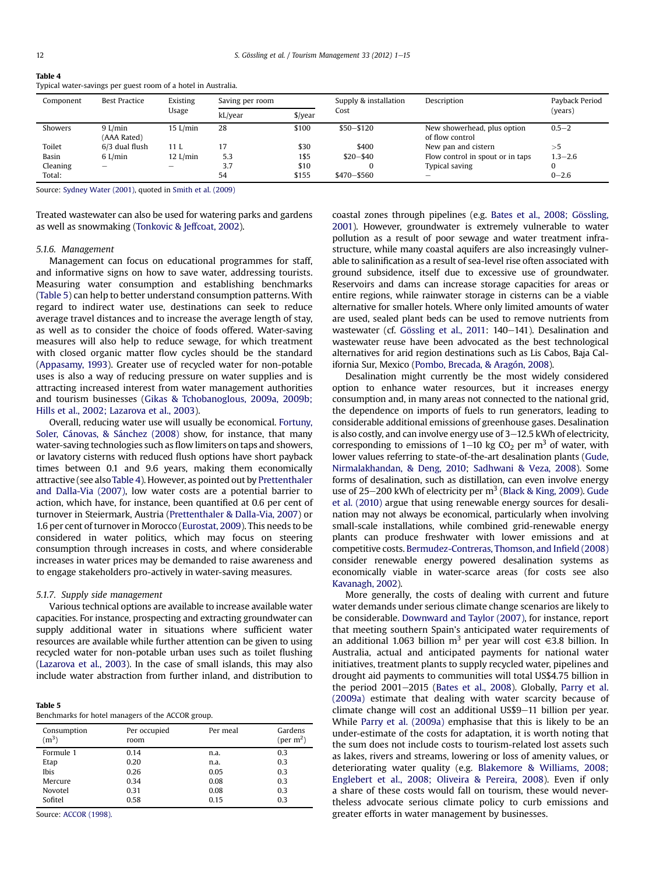<span id="page-11-0"></span>Table 4

| Component | <b>Best Practice</b>     | Existing<br>Usage | Saving per room |           | Supply & installation | Description                                    | Payback Period<br>(years) |  |
|-----------|--------------------------|-------------------|-----------------|-----------|-----------------------|------------------------------------------------|---------------------------|--|
|           |                          |                   | kL/year         | $$$ /year | Cost                  |                                                |                           |  |
| Showers   | $9$ L/min<br>(AAA Rated) | $15$ L/min        | 28              | \$100     | $$50 - $120$          | New showerhead, plus option<br>of flow control | $0.5 - 2$                 |  |
| Toilet    | 6/3 dual flush           | 11 L              | 17              | \$30      | \$400                 | New pan and cistern                            | $>$ ל                     |  |
| Basin     | $6$ L/min                | $12$ L/min        | 5.3             | 1\$5      | $$20 - $40$           | Flow control in spout or in taps               | $1.3 - 2.6$               |  |
| Cleaning  | $\overline{\phantom{a}}$ | -                 | 3.7             | \$10      |                       | Typical saving                                 | 0                         |  |
| Total:    |                          |                   | 54              | \$155     | $$470 - $560$         | -                                              | $0 - 2.6$                 |  |

Typical water-savings per guest room of a hotel in Australia.

Source: [Sydney Water \(2001\)](#page-14-0), quoted in [Smith et al. \(2009\)](#page-14-0)

Treated wastewater can also be used for watering parks and gardens as well as snowmaking ([Tonkovic & Jeffcoat, 2002](#page-14-0)).

#### 5.1.6. Management

Management can focus on educational programmes for staff, and informative signs on how to save water, addressing tourists. Measuring water consumption and establishing benchmarks (Table 5) can help to better understand consumption patterns. With regard to indirect water use, destinations can seek to reduce average travel distances and to increase the average length of stay, as well as to consider the choice of foods offered. Water-saving measures will also help to reduce sewage, for which treatment with closed organic matter flow cycles should be the standard ([Appasamy, 1993\)](#page-13-0). Greater use of recycled water for non-potable uses is also a way of reducing pressure on water supplies and is attracting increased interest from water management authorities and tourism businesses [\(Gikas & Tchobanoglous, 2009a, 2009b;](#page-13-0) [Hills et al., 2002; Lazarova et al., 2003\)](#page-13-0).

Overall, reducing water use will usually be economical. [Fortuny,](#page-13-0) [Soler, Cánovas, & Sánchez \(2008\)](#page-13-0) show, for instance, that many water-saving technologies such as flow limiters on taps and showers, or lavatory cisterns with reduced flush options have short payback times between 0.1 and 9.6 years, making them economically attractive (see alsoTable 4). However, as pointed out by [Prettenthaler](#page-14-0) [and Dalla-Via \(2007\),](#page-14-0) low water costs are a potential barrier to action, which have, for instance, been quantified at 0.6 per cent of turnover in Steiermark, Austria [\(Prettenthaler & Dalla-Via, 2007\)](#page-14-0) or 1.6 per cent of turnover in Morocco [\(Eurostat, 2009\)](#page-13-0). This needs to be considered in water politics, which may focus on steering consumption through increases in costs, and where considerable increases in water prices may be demanded to raise awareness and to engage stakeholders pro-actively in water-saving measures.

# 5.1.7. Supply side management

Various technical options are available to increase available water capacities. For instance, prospecting and extracting groundwater can supply additional water in situations where sufficient water resources are available while further attention can be given to using recycled water for non-potable urban uses such as toilet flushing ([Lazarova et al., 2003](#page-14-0)). In the case of small islands, this may also include water abstraction from further inland, and distribution to

# Table 5

Benchmarks for hotel managers of the ACCOR group.

| Consumption<br>$(m^3)$ | Per occupied<br>room | Per meal | Gardens<br>(per $m2$ ) |
|------------------------|----------------------|----------|------------------------|
| Formule 1              | 0.14                 | n.a.     | 0.3                    |
| Etap                   | 0.20                 | n.a.     | 0.3                    |
| <b>Ibis</b>            | 0.26                 | 0.05     | 0.3                    |
| Mercure                | 0.34                 | 0.08     | 0.3                    |
| Novotel                | 0.31                 | 0.08     | 0.3                    |
| Sofitel                | 0.58                 | 0.15     | 0.3                    |

Source: [ACCOR \(1998\).](#page-12-0)

coastal zones through pipelines (e.g. [Bates et al., 2008; Gössling,](#page-13-0) [2001](#page-13-0)). However, groundwater is extremely vulnerable to water pollution as a result of poor sewage and water treatment infrastructure, while many coastal aquifers are also increasingly vulnerable to salinification as a result of sea-level rise often associated with ground subsidence, itself due to excessive use of groundwater. Reservoirs and dams can increase storage capacities for areas or entire regions, while rainwater storage in cisterns can be a viable alternative for smaller hotels. Where only limited amounts of water are used, sealed plant beds can be used to remove nutrients from wastewater (cf. [Gössling et al., 2011](#page-13-0): 140–141). Desalination and wastewater reuse have been advocated as the best technological alternatives for arid region destinations such as Lis Cabos, Baja California Sur, Mexico [\(Pombo, Brecada, & Aragón, 2008](#page-14-0)).

Desalination might currently be the most widely considered option to enhance water resources, but it increases energy consumption and, in many areas not connected to the national grid, the dependence on imports of fuels to run generators, leading to considerable additional emissions of greenhouse gases. Desalination is also costly, and can involve energy use of  $3-12.5$  kWh of electricity, corresponding to emissions of  $1-10$  kg CO<sub>2</sub> per m<sup>3</sup> of water, with lower values referring to state-of-the-art desalination plants [\(Gude,](#page-13-0) [Nirmalakhandan, & Deng, 2010](#page-13-0); [Sadhwani & Veza, 2008](#page-14-0)). Some forms of desalination, such as distillation, can even involve energy use of 25–200 kWh of electricity per  $m<sup>3</sup>$  [\(Black & King, 2009](#page-13-0)). [Gude](#page-13-0) [et al. \(2010\)](#page-13-0) argue that using renewable energy sources for desalination may not always be economical, particularly when involving small-scale installations, while combined grid-renewable energy plants can produce freshwater with lower emissions and at competitive costs. [Bermudez-Contreras, Thomson, and In](#page-13-0)field (2008) consider renewable energy powered desalination systems as economically viable in water-scarce areas (for costs see also [Kavanagh, 2002\)](#page-13-0).

More generally, the costs of dealing with current and future water demands under serious climate change scenarios are likely to be considerable. [Downward and Taylor \(2007\)](#page-13-0), for instance, report that meeting southern Spain's anticipated water requirements of an additional 1.063 billion m<sup>3</sup> per year will cost  $\epsilon$ 3.8 billion. In Australia, actual and anticipated payments for national water initiatives, treatment plants to supply recycled water, pipelines and drought aid payments to communities will total US\$4.75 billion in the period  $2001-2015$  [\(Bates et al., 2008](#page-13-0)). Globally, [Parry et al.](#page-14-0) [\(2009a\)](#page-14-0) estimate that dealing with water scarcity because of climate change will cost an additional US\$9-11 billion per year. While [Parry et al. \(2009a\)](#page-14-0) emphasise that this is likely to be an under-estimate of the costs for adaptation, it is worth noting that the sum does not include costs to tourism-related lost assets such as lakes, rivers and streams, lowering or loss of amenity values, or deteriorating water quality (e.g. [Blakemore & Williams, 2008;](#page-13-0) [Englebert et al., 2008; Oliveira & Pereira, 2008\)](#page-13-0). Even if only a share of these costs would fall on tourism, these would nevertheless advocate serious climate policy to curb emissions and greater efforts in water management by businesses.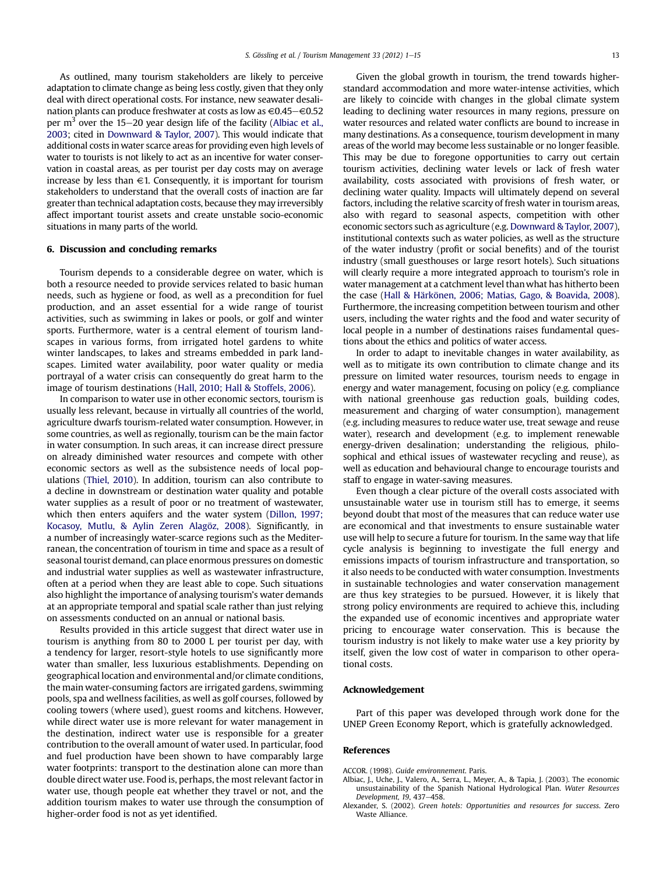<span id="page-12-0"></span>As outlined, many tourism stakeholders are likely to perceive adaptation to climate change as being less costly, given that they only deal with direct operational costs. For instance, new seawater desalination plants can produce freshwater at costs as low as  $\in$ 0.45 $\in$ 0.52 per  $m<sup>3</sup>$  over the 15–20 year design life of the facility (Albiac et al., 2003; cited in [Downward & Taylor, 2007\)](#page-13-0). This would indicate that additional costs in water scarce areas for providing even high levels of water to tourists is not likely to act as an incentive for water conservation in coastal areas, as per tourist per day costs may on average increase by less than  $\in$ 1. Consequently, it is important for tourism stakeholders to understand that the overall costs of inaction are far greater than technical adaptation costs, because they may irreversibly affect important tourist assets and create unstable socio-economic situations in many parts of the world.

#### 6. Discussion and concluding remarks

Tourism depends to a considerable degree on water, which is both a resource needed to provide services related to basic human needs, such as hygiene or food, as well as a precondition for fuel production, and an asset essential for a wide range of tourist activities, such as swimming in lakes or pools, or golf and winter sports. Furthermore, water is a central element of tourism landscapes in various forms, from irrigated hotel gardens to white winter landscapes, to lakes and streams embedded in park landscapes. Limited water availability, poor water quality or media portrayal of a water crisis can consequently do great harm to the image of tourism destinations ([Hall, 2010; Hall & Stoffels, 2006\)](#page-13-0).

In comparison to water use in other economic sectors, tourism is usually less relevant, because in virtually all countries of the world, agriculture dwarfs tourism-related water consumption. However, in some countries, as well as regionally, tourism can be the main factor in water consumption. In such areas, it can increase direct pressure on already diminished water resources and compete with other economic sectors as well as the subsistence needs of local populations ([Thiel, 2010\)](#page-14-0). In addition, tourism can also contribute to a decline in downstream or destination water quality and potable water supplies as a result of poor or no treatment of wastewater, which then enters aquifers and the water system ([Dillon, 1997;](#page-13-0) [Kocasoy, Mutlu, & Aylin Zeren Alagöz, 2008](#page-13-0)). Significantly, in a number of increasingly water-scarce regions such as the Mediterranean, the concentration of tourism in time and space as a result of seasonal tourist demand, can place enormous pressures on domestic and industrial water supplies as well as wastewater infrastructure, often at a period when they are least able to cope. Such situations also highlight the importance of analysing tourism's water demands at an appropriate temporal and spatial scale rather than just relying on assessments conducted on an annual or national basis.

Results provided in this article suggest that direct water use in tourism is anything from 80 to 2000 L per tourist per day, with a tendency for larger, resort-style hotels to use significantly more water than smaller, less luxurious establishments. Depending on geographical location and environmental and/or climate conditions, the main water-consuming factors are irrigated gardens, swimming pools, spa and wellness facilities, as well as golf courses, followed by cooling towers (where used), guest rooms and kitchens. However, while direct water use is more relevant for water management in the destination, indirect water use is responsible for a greater contribution to the overall amount of water used. In particular, food and fuel production have been shown to have comparably large water footprints: transport to the destination alone can more than double direct water use. Food is, perhaps, the most relevant factor in water use, though people eat whether they travel or not, and the addition tourism makes to water use through the consumption of higher-order food is not as yet identified.

Given the global growth in tourism, the trend towards higherstandard accommodation and more water-intense activities, which are likely to coincide with changes in the global climate system leading to declining water resources in many regions, pressure on water resources and related water conflicts are bound to increase in many destinations. As a consequence, tourism development in many areas of the world may become less sustainable or no longer feasible. This may be due to foregone opportunities to carry out certain tourism activities, declining water levels or lack of fresh water availability, costs associated with provisions of fresh water, or declining water quality. Impacts will ultimately depend on several factors, including the relative scarcity of fresh water in tourism areas, also with regard to seasonal aspects, competition with other economic sectors such as agriculture (e.g. [Downward & Taylor, 2007\)](#page-13-0), institutional contexts such as water policies, as well as the structure of the water industry (profit or social benefits) and of the tourist industry (small guesthouses or large resort hotels). Such situations will clearly require a more integrated approach to tourism's role in water management at a catchment level than what has hitherto been the case ([Hall & Härkönen, 2006; Matias, Gago, & Boavida, 2008\)](#page-13-0). Furthermore, the increasing competition between tourism and other users, including the water rights and the food and water security of local people in a number of destinations raises fundamental questions about the ethics and politics of water access.

In order to adapt to inevitable changes in water availability, as well as to mitigate its own contribution to climate change and its pressure on limited water resources, tourism needs to engage in energy and water management, focusing on policy (e.g. compliance with national greenhouse gas reduction goals, building codes, measurement and charging of water consumption), management (e.g. including measures to reduce water use, treat sewage and reuse water), research and development (e.g. to implement renewable energy-driven desalination; understanding the religious, philosophical and ethical issues of wastewater recycling and reuse), as well as education and behavioural change to encourage tourists and staff to engage in water-saving measures.

Even though a clear picture of the overall costs associated with unsustainable water use in tourism still has to emerge, it seems beyond doubt that most of the measures that can reduce water use are economical and that investments to ensure sustainable water use will help to secure a future for tourism. In the same way that life cycle analysis is beginning to investigate the full energy and emissions impacts of tourism infrastructure and transportation, so it also needs to be conducted with water consumption. Investments in sustainable technologies and water conservation management are thus key strategies to be pursued. However, it is likely that strong policy environments are required to achieve this, including the expanded use of economic incentives and appropriate water pricing to encourage water conservation. This is because the tourism industry is not likely to make water use a key priority by itself, given the low cost of water in comparison to other operational costs.

#### Acknowledgement

Part of this paper was developed through work done for the UNEP Green Economy Report, which is gratefully acknowledged.

#### References

- ACCOR. (1998). Guide environnement. Paris.
- Albiac, J., Uche, J., Valero, A., Serra, L., Meyer, A., & Tapia, J. (2003). The economic unsustainability of the Spanish National Hydrological Plan. Water Resources Development, 19, 437-458.
- Alexander, S. (2002). Green hotels: Opportunities and resources for success. Zero Waste Alliance.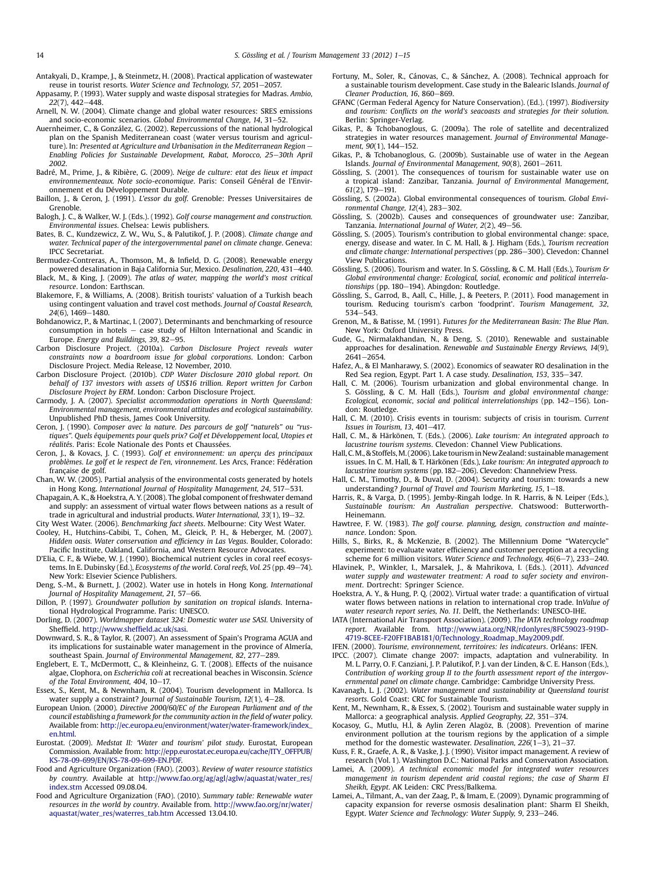- <span id="page-13-0"></span>Antakyali, D., Krampe, J., & Steinmetz, H. (2008). Practical application of wastewater reuse in tourist resorts. Water Science and Technology,  $57$ , 2051–2057.
- Appasamy, P. (1993). Water supply and waste disposal strategies for Madras. Ambio,  $22(7)$ , 442-448.
- Arnell, N. W. (2004). Climate change and global water resources: SRES emissions and socio-economic scenarios. Global Environmental Change, 14, 31–52.
- Auernheimer, C., & González, G. (2002). Repercussions of the national hydrological plan on the Spanish Mediterranean coast (water versus tourism and agriculture). In: Presented at Agriculture and Urbanisation in the Mediterranean Region -Enabling Policies for Sustainable Development, Rabat, Morocco, 25-30th April 2002.
- Badré, M., Prime, J., & Ribière, G. (2009). Neige de culture: etat des lieux et impact environnementeaux. Note socio-economique. Paris: Conseil Général de l'Environnement et du Développement Durable.
- Baillon, J., & Ceron, J. (1991). L'essor du golf. Grenoble: Presses Universitaires de Grenoble.
- Balogh, J. C., & Walker, W. J. (Eds.). (1992). Golf course management and construction. Environmental issues. Chelsea: Lewis publishers.
- Bates, B. C., Kundzewicz, Z. W., Wu, S., & Palutikof, J. P. (2008). Climate change and water. Technical paper of the intergovernmental panel on climate change. Geneva: IPCC Secretariat.
- Bermudez-Contreras, A., Thomson, M., & Infield, D. G. (2008). Renewable energy powered desalination in Baja California Sur, Mexico. Desalination, 220, 431–440.
- Black, M., & King, J. (2009). The atlas of water, mapping the world's most critical resource. London: Earthscan.
- Blakemore, F., & Williams, A. (2008). British tourists' valuation of a Turkish beach using contingent valuation and travel cost methods. Journal of Coastal Research, 24(6), 1469-1480.
- Bohdanowicz, P., & Martinac, I. (2007). Determinants and benchmarking of resource consumption in hotels  $-$  case study of Hilton International and Scandic in Europe. Energy and Buildings, 39, 82-95.
- Carbon Disclosure Project. (2010a). Carbon Disclosure Project reveals water constraints now a boardroom issue for global corporations. London: Carbon Disclosure Project. Media Release, 12 November, 2010.
- Carbon Disclosure Project. (2010b). CDP Water Disclosure 2010 global report. On behalf of 137 investors with assets of US\$16 trillion. Report written for Carbon Disclosure Project by ERM. London: Carbon Disclosure Project.
- Carmody, J. A. (2007). Specialist accommodation operations in North Queensland: Environmental management, environmental attitudes and ecological sustainability. Unpublished PhD thesis, James Cook University.
- Ceron, J. (1990). Composer avec la nature. Des parcours de golf "naturels" ou "rustiques". Quels équipements pour quels prix? Golf et Développement local, Utopies et réalités. Paris: Ecole Nationale des Ponts et Chaussées.
- Ceron, J., & Kovacs, J. C. (1993). Golf et environnement: un aperçu des principaux problèmes. Le golf et le respect de l'en, vironnement. Les Arcs, France: Fédération française de golf.
- Chan, W. W. (2005). Partial analysis of the environmental costs generated by hotels in Hong Kong. International Journal of Hospitality Management, 24, 517-531.
- Chapagain, A. K., & Hoekstra, A. Y. (2008). The global component of freshwater demand and supply: an assessment of virtual water flows between nations as a result of trade in agricultural and industrial products. Water International,  $33(1)$ ,  $19-32$ .
- City West Water. (2006). Benchmarking fact sheets. Melbourne: City West Water. Cooley, H., Hutchins-Cabibi, T., Cohen, M., Gleick, P. H., & Heberger, M. (2007). Hidden oasis. Water conservation and efficiency in Las Vegas. Boulder, Colorado:
- Pacific Institute, Oakland, California, and Western Resource Advocates. D'Elia, C. F., & Wiebe, W. J. (1990). Biochemical nutrient cycles in coral reef ecosystems. In E. Dubinsky (Ed.), Ecosystems of the world. Coral reefs, Vol. 25 (pp. 49-74).
- New York: Elsevier Science Publishers. Deng, S.-M., & Burnett, J. (2002). Water use in hotels in Hong Kong. International Journal of Hospitality Management, 21, 57-66.
- Dillon, P. (1997). Groundwater pollution by sanitation on tropical islands. International Hydrological Programme. Paris: UNESCO.
- Dorling, D. (2007). Worldmapper dataset 324: Domestic water use SASI. University of Sheffield. [http://www.shef](http://www.sheffield.ac.uk/sasi)field.ac.uk/sasi.
- Downward, S. R., & Taylor, R. (2007). An assessment of Spain's Programa AGUA and its implications for sustainable water management in the province of Almería, southeast Spain. Journal of Environmental Management, 82, 277-289.
- Englebert, E. T., McDermott, C., & Kleinheinz, G. T. (2008). Effects of the nuisance algae, Clophora, on Escherichia coli at recreational beaches in Wisconsin. Science of the Total Environment, 404,  $10-17$ .
- Essex, S., Kent, M., & Newnham, R. (2004). Tourism development in Mallorca. Is water supply a constraint? Journal of Sustainable Tourism,  $12(1)$ ,  $4-28$ .
- European Union. (2000). Directive 2000/60/EC of the European Parliament and of the council establishing a framework for the community action in the field of water policy. Available from: [http://ec.europa.eu/environment/water/water-framework/index\\_](http://ec.europa.eu/environment/water/water-framework/index_en.html) [en.html.](http://ec.europa.eu/environment/water/water-framework/index_en.html)
- Eurostat. (2009). Medstat II: 'Water and tourism' pilot study. Eurostat, European Commission. Available from: [http://epp.eurostat.ec.europa.eu/cache/ITY\\_OFFPUB/](http://epp.eurostat.ec.europa.eu/cache/ITY_OFFPUB/KS-78-09-699/EN/KS-78-09-699-EN.PDF) [KS-78-09-699/EN/KS-78-09-699-EN.PDF.](http://epp.eurostat.ec.europa.eu/cache/ITY_OFFPUB/KS-78-09-699/EN/KS-78-09-699-EN.PDF)
- Food and Agriculture Organization (FAO). (2003). Review of water resource statistics by country. Available at [http://www.fao.org/ag/agl/aglw/aquastat/water\\_res/](http://www.fao.org/ag/agl/aglw/aquastat/water_res/index.stm) [index.stm](http://www.fao.org/ag/agl/aglw/aquastat/water_res/index.stm) Accessed 09.08.04.
- Food and Agriculture Organization (FAO). (2010). Summary table: Renewable water resources in the world by country. Available from. [http://www.fao.org/nr/water/](http://www.fao.org/nr/water/aquastat/water_res/waterres_tab.htm) [aquastat/water\\_res/waterres\\_tab.htm](http://www.fao.org/nr/water/aquastat/water_res/waterres_tab.htm) Accessed 13.04.10.
- Fortuny, M., Soler, R., Cánovas, C., & Sánchez, A. (2008). Technical approach for a sustainable tourism development. Case study in the Balearic Islands. Journal of Cleaner Production, 16, 860-869.
- GFANC (German Federal Agency for Nature Conservation). (Ed.). (1997). Biodiversity and tourism: Conflicts on the world's seacoasts and strategies for their solution. Berlin: Springer-Verlag.
- Gikas, P., & Tchobanoglous, G. (2009a). The role of satellite and decentralized strategies in water resources management. Journal of Environmental Management,  $90(1)$ , 144-152.
- Gikas, P., & Tchobanoglous, G. (2009b). Sustainable use of water in the Aegean Islands. Journal of Environmental Management, 90(8), 2601-2611.
- Gössling, S. (2001). The consequences of tourism for sustainable water use on a tropical island: Zanzibar, Tanzania. Journal of Environmental Management,  $61(2)$ , 179-191.
- Gössling, S. (2002a). Global environmental consequences of tourism. Global Environmental Change,  $12(4)$ ,  $283-302$ .
- Gössling, S. (2002b). Causes and consequences of groundwater use: Zanzibar, Tanzania. International Journal of Water,  $2(2)$ ,  $49-56$ .
- Gössling, S. (2005). Tourism's contribution to global environmental change: space, energy, disease and water. In C. M. Hall, & J. Higham (Eds.), Tourism recreation and climate change: International perspectives (pp. 286-300). Clevedon: Channel View Publications.
- Gössling, S. (2006). Tourism and water. In S. Gössling, & C. M. Hall (Eds.), Tourism & Global environmental change: Ecological, social, economic and political interrelationships (pp. 180-194). Abingdon: Routledge.
- Gössling, S., Garrod, B., Aall, C., Hille, J., & Peeters, P. (2011). Food management in tourism. Reducing tourism's carbon 'foodprint'. Tourism Management, 32, 534-543
- Grenon, M., & Batisse, M. (1991). Futures for the Mediterranean Basin: The Blue Plan. New York: Oxford University Press.
- Gude, G., Nirmalakhandan, N., & Deng, S. (2010). Renewable and sustainable approaches for desalination. Renewable and Sustainable Energy Reviews, 14(9), 2641-2654
- Hafez, A., & El Manharawy, S. (2002). Economics of seawater RO desalination in the Red Sea region, Egypt. Part 1. A case study. Desalination, 153, 335-347.
- Hall, C. M. (2006). Tourism urbanization and global environmental change. In S. Gössling, & C. M. Hall (Eds.), Tourism and global environmental change: Ecological, economic, social and political interrelationships (pp. 142-156). London: Routledge.
- Hall, C. M. (2010). Crisis events in tourism: subjects of crisis in tourism. Current Issues in Tourism, 13,  $401-417$ .
- Hall, C. M., & Härkönen, T. (Eds.). (2006). Lake tourism: An integrated approach to lacustrine tourism systems. Clevedon: Channel View Publications.
- Hall, C.M., & Stoffels, M. (2006). Lake tourism in New Zealand: sustainable management issues. In C. M. Hall, & T. Härkönen (Eds.), Lake tourism: An integrated approach to lacustrine tourism systems (pp. 182-206). Clevedon: Channelview Press
- Hall, C. M., Timothy, D., & Duval, D. (2004). Security and tourism: towards a new understanding? Journal of Travel and Tourism Marketing, 15,  $1-18$ .
- Harris, R., & Varga, D. (1995). Jemby-Ringah lodge. In R. Harris, & N. Leiper (Eds.), Sustainable tourism: An Australian perspective. Chatswood: Butterworth-Heinemann.
- Hawtree, F. W. (1983). The golf course. planning, design, construction and maintenance. London: Spon.
- Hills, S., Birks, R., & McKenzie, B. (2002). The Millennium Dome "Watercycle" experiment: to evaluate water efficiency and customer perception at a recycling scheme for 6 million visitors. Water Science and Technology, 46(6-7), 233-240.
- Hlavinek, P., Winkler, I., Marsalek, J., & Mahrikova, I. (Eds.). (2011). Advanced water supply and wastewater treatment: A road to safer society and environment. Dortrecht: Springer Science.
- Hoekstra, A. Y., & Hung, P. Q. (2002). Virtual water trade: a quantification of virtual water flows between nations in relation to international crop trade. InValue of water research report series, No. 11. Delft, the Netherlands: UNESCO-IHE.
- IATA (International Air Transport Association). (2009). The IATA technology roadmap report. Available from. [http://www.iata.org/NR/rdonlyres/8FC59023-919D-](http://www.iata.org/NR/rdonlyres/8FC59023-919D-4719-8CEE-F20FF1BAB181/0/Technology_Roadmap_May2009.pdf)[4719-8CEE-F20FF1BAB181/0/Technology\\_Roadmap\\_May2009.pdf.](http://www.iata.org/NR/rdonlyres/8FC59023-919D-4719-8CEE-F20FF1BAB181/0/Technology_Roadmap_May2009.pdf)
- IFEN. (2000). Tourisme, environnement, territoires: les indicateurs. Orléans: IFEN.
- IPCC. (2007). Climate change 2007: impacts, adaptation and vulnerability. In M. L. Parry, O. F. Canziani, J. P. Palutikof, P. J. van der Linden, & C. E. Hanson (Eds.), Contribution of working group II to the fourth assessment report of the intergovernmental panel on climate change. Cambridge: Cambridge University Press.
- Kavanagh, L. J. (2002). Water management and sustainability at Queensland tourist resorts. Gold Coast: CRC for Sustainable Tourism.
- Kent, M., Newnham, R., & Essex, S. (2002). Tourism and sustainable water supply in Mallorca: a geographical analysis. Applied Geography, 22, 351-374.
- Kocasoy, G., Mutlu, H.İ, & Aylin Zeren Alagöz, B. (2008). Prevention of marine environment pollution at the tourism regions by the application of a simple method for the domestic wastewater. Desalination,  $226(1-3)$ ,  $21-37$ .
- Kuss, F. R., Graefe, A. R., & Vaske, J. J. (1990). Visitor impact management. A review of research (Vol. 1). Washington D.C.: National Parks and Conservation Association.
- Lamei, A. (2009). A technical economic model for integrated water resources management in tourism dependent arid coastal regions; the case of Sharm El Sheikh, Egypt. AK Leiden: CRC Press/Balkema.
- Lamei, A., Tilmant, A., van der Zaag, P., & Imam, E. (2009). Dynamic programming of capacity expansion for reverse osmosis desalination plant: Sharm El Sheikh, Egypt. Water Science and Technology: Water Supply, 9, 233-246.